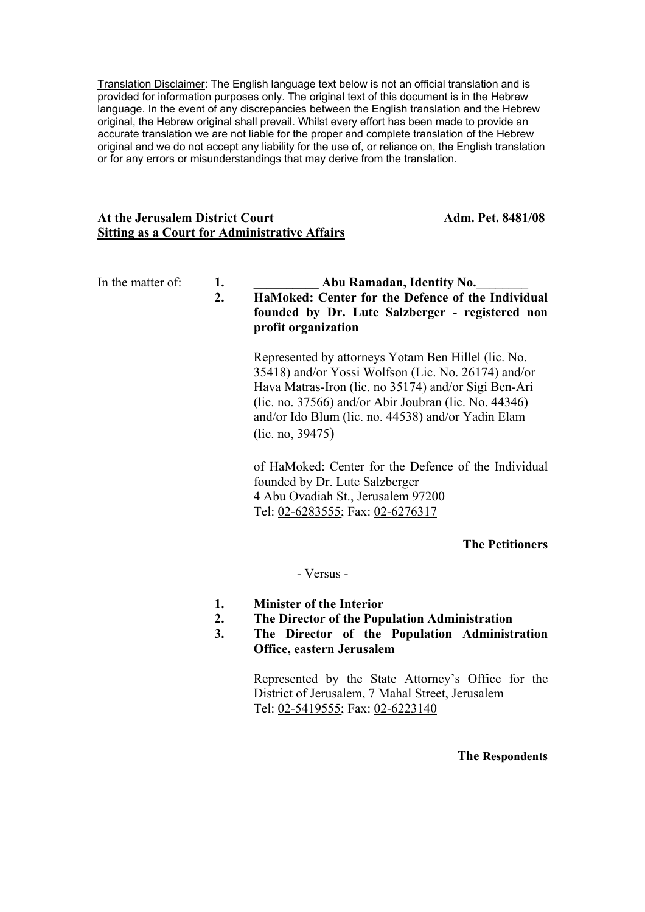Translation Disclaimer: The English language text below is not an official translation and is provided for information purposes only. The original text of this document is in the Hebrew language. In the event of any discrepancies between the English translation and the Hebrew original, the Hebrew original shall prevail. Whilst every effort has been made to provide an accurate translation we are not liable for the proper and complete translation of the Hebrew original and we do not accept any liability for the use of, or reliance on, the English translation or for any errors or misunderstandings that may derive from the translation.

# At the Jerusalem District Court **Adm. Pet. 8481/08 Sitting as a Court for Administrative Affairs**

# In the matter of: **1. Abu Ramadan, Identity No. 2. HaMoked: Center for the Defence of the Individual founded by Dr. Lute Salzberger - registered non profit organization**

Represented by attorneys Yotam Ben Hillel (lic. No. 35418) and/or Yossi Wolfson (Lic. No. 26174) and/or Hava Matras-Iron (lic. no 35174) and/or Sigi Ben-Ari (lic. no. 37566) and/or Abir Joubran (lic. No. 44346) and/or Ido Blum (lic. no. 44538) and/or Yadin Elam (lic. no, 39475)

of HaMoked: Center for the Defence of the Individual founded by Dr. Lute Salzberger 4 Abu Ovadiah St., Jerusalem 97200 Tel: 02-6283555; Fax: 02-6276317

# **The Petitioners**

- Versus -

- **1. Minister of the Interior**
- **2. The Director of the Population Administration**
- **3. The Director of the Population Administration Office, eastern Jerusalem**

Represented by the State Attorney's Office for the District of Jerusalem, 7 Mahal Street, Jerusalem Tel: 02-5419555; Fax: 02-6223140

**The Respondents**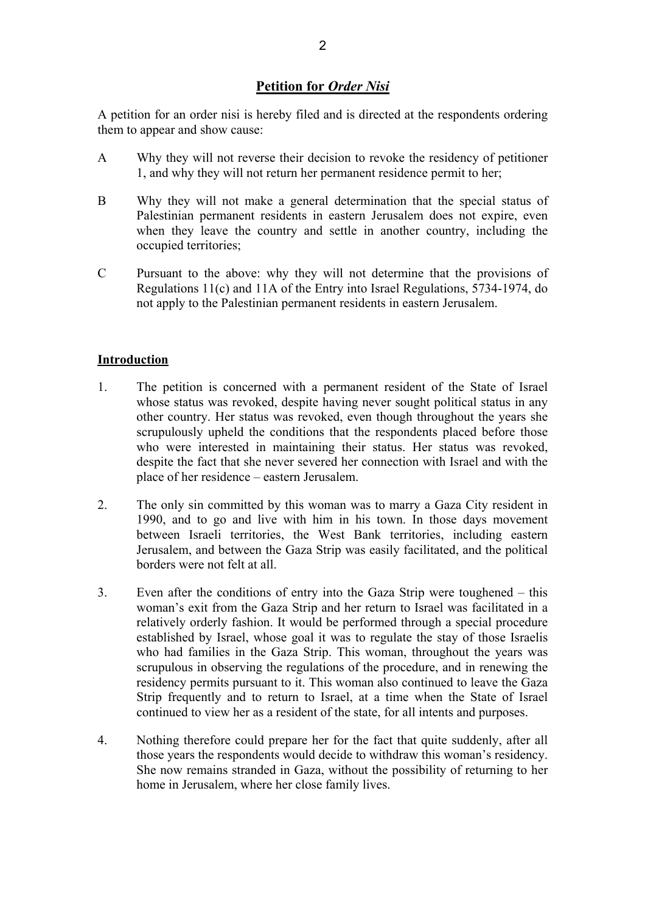# **Petition for** *Order Nisi*

A petition for an order nisi is hereby filed and is directed at the respondents ordering them to appear and show cause:

- A Why they will not reverse their decision to revoke the residency of petitioner 1, and why they will not return her permanent residence permit to her;
- B Why they will not make a general determination that the special status of Palestinian permanent residents in eastern Jerusalem does not expire, even when they leave the country and settle in another country, including the occupied territories;
- C Pursuant to the above: why they will not determine that the provisions of Regulations 11(c) and 11A of the Entry into Israel Regulations, 5734-1974, do not apply to the Palestinian permanent residents in eastern Jerusalem.

# **Introduction**

- 1. The petition is concerned with a permanent resident of the State of Israel whose status was revoked, despite having never sought political status in any other country. Her status was revoked, even though throughout the years she scrupulously upheld the conditions that the respondents placed before those who were interested in maintaining their status. Her status was revoked, despite the fact that she never severed her connection with Israel and with the place of her residence – eastern Jerusalem.
- 2. The only sin committed by this woman was to marry a Gaza City resident in 1990, and to go and live with him in his town. In those days movement between Israeli territories, the West Bank territories, including eastern Jerusalem, and between the Gaza Strip was easily facilitated, and the political borders were not felt at all.
- 3. Even after the conditions of entry into the Gaza Strip were toughened this woman's exit from the Gaza Strip and her return to Israel was facilitated in a relatively orderly fashion. It would be performed through a special procedure established by Israel, whose goal it was to regulate the stay of those Israelis who had families in the Gaza Strip. This woman, throughout the years was scrupulous in observing the regulations of the procedure, and in renewing the residency permits pursuant to it. This woman also continued to leave the Gaza Strip frequently and to return to Israel, at a time when the State of Israel continued to view her as a resident of the state, for all intents and purposes.
- 4. Nothing therefore could prepare her for the fact that quite suddenly, after all those years the respondents would decide to withdraw this woman's residency. She now remains stranded in Gaza, without the possibility of returning to her home in Jerusalem, where her close family lives.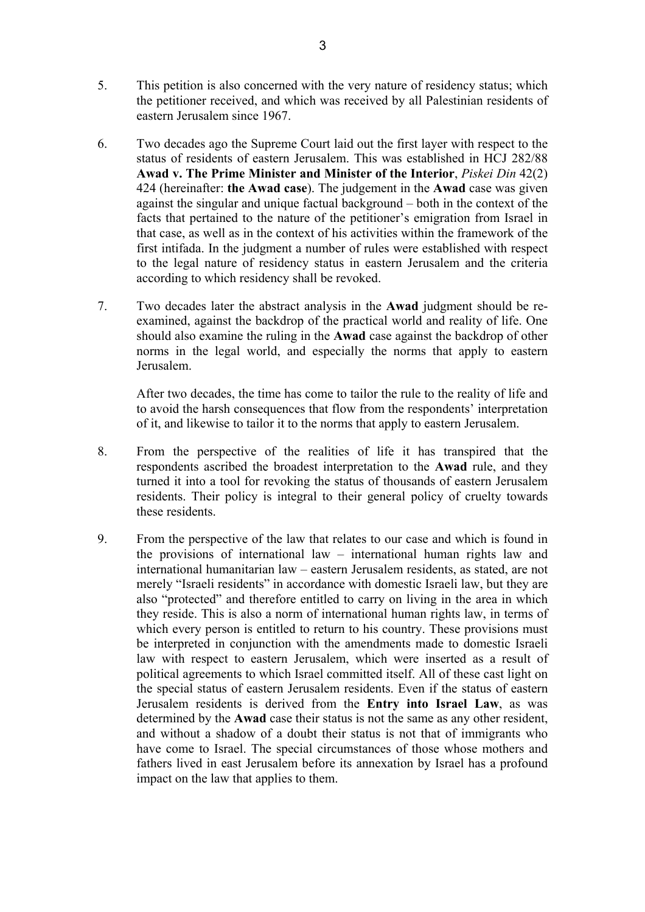- 5. This petition is also concerned with the very nature of residency status; which the petitioner received, and which was received by all Palestinian residents of eastern Jerusalem since 1967.
- 6. Two decades ago the Supreme Court laid out the first layer with respect to the status of residents of eastern Jerusalem. This was established in HCJ 282/88 **Awad v. The Prime Minister and Minister of the Interior**, *Piskei Din* 42(2) 424 (hereinafter: **the Awad case**). The judgement in the **Awad** case was given against the singular and unique factual background – both in the context of the facts that pertained to the nature of the petitioner's emigration from Israel in that case, as well as in the context of his activities within the framework of the first intifada. In the judgment a number of rules were established with respect to the legal nature of residency status in eastern Jerusalem and the criteria according to which residency shall be revoked.
- 7. Two decades later the abstract analysis in the **Awad** judgment should be reexamined, against the backdrop of the practical world and reality of life. One should also examine the ruling in the **Awad** case against the backdrop of other norms in the legal world, and especially the norms that apply to eastern Jerusalem.

After two decades, the time has come to tailor the rule to the reality of life and to avoid the harsh consequences that flow from the respondents' interpretation of it, and likewise to tailor it to the norms that apply to eastern Jerusalem.

- 8. From the perspective of the realities of life it has transpired that the respondents ascribed the broadest interpretation to the **Awad** rule, and they turned it into a tool for revoking the status of thousands of eastern Jerusalem residents. Their policy is integral to their general policy of cruelty towards these residents.
- 9. From the perspective of the law that relates to our case and which is found in the provisions of international law – international human rights law and international humanitarian law – eastern Jerusalem residents, as stated, are not merely "Israeli residents" in accordance with domestic Israeli law, but they are also "protected" and therefore entitled to carry on living in the area in which they reside. This is also a norm of international human rights law, in terms of which every person is entitled to return to his country. These provisions must be interpreted in conjunction with the amendments made to domestic Israeli law with respect to eastern Jerusalem, which were inserted as a result of political agreements to which Israel committed itself. All of these cast light on the special status of eastern Jerusalem residents. Even if the status of eastern Jerusalem residents is derived from the **Entry into Israel Law**, as was determined by the **Awad** case their status is not the same as any other resident, and without a shadow of a doubt their status is not that of immigrants who have come to Israel. The special circumstances of those whose mothers and fathers lived in east Jerusalem before its annexation by Israel has a profound impact on the law that applies to them.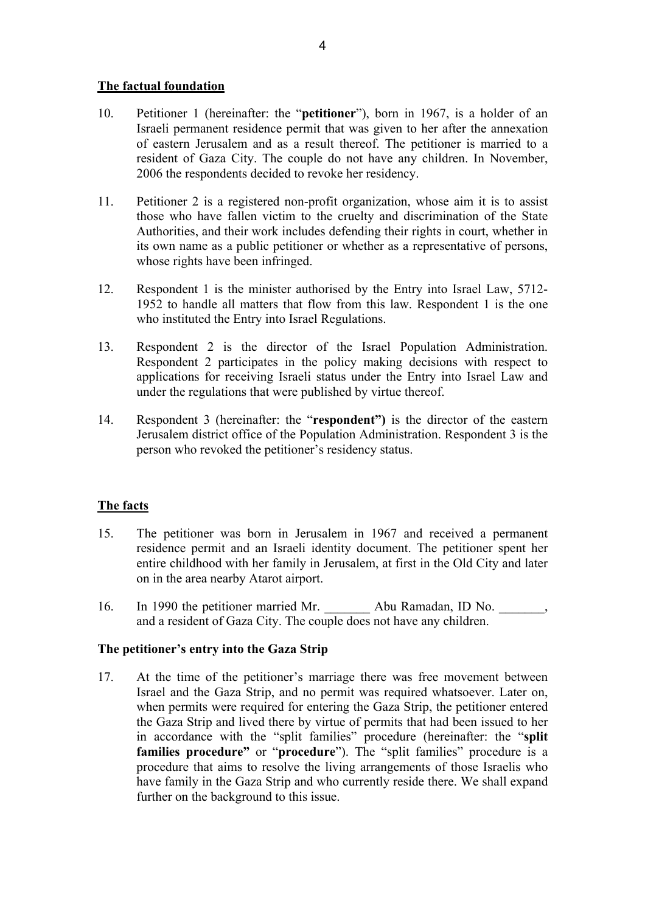# **The factual foundation**

- 10. Petitioner 1 (hereinafter: the "**petitioner**"), born in 1967, is a holder of an Israeli permanent residence permit that was given to her after the annexation of eastern Jerusalem and as a result thereof. The petitioner is married to a resident of Gaza City. The couple do not have any children. In November, 2006 the respondents decided to revoke her residency.
- 11. Petitioner 2 is a registered non-profit organization, whose aim it is to assist those who have fallen victim to the cruelty and discrimination of the State Authorities, and their work includes defending their rights in court, whether in its own name as a public petitioner or whether as a representative of persons, whose rights have been infringed.
- 12. Respondent 1 is the minister authorised by the Entry into Israel Law, 5712- 1952 to handle all matters that flow from this law. Respondent 1 is the one who instituted the Entry into Israel Regulations.
- 13. Respondent 2 is the director of the Israel Population Administration. Respondent 2 participates in the policy making decisions with respect to applications for receiving Israeli status under the Entry into Israel Law and under the regulations that were published by virtue thereof.
- 14. Respondent 3 (hereinafter: the "**respondent")** is the director of the eastern Jerusalem district office of the Population Administration. Respondent 3 is the person who revoked the petitioner's residency status.

# **The facts**

- 15. The petitioner was born in Jerusalem in 1967 and received a permanent residence permit and an Israeli identity document. The petitioner spent her entire childhood with her family in Jerusalem, at first in the Old City and later on in the area nearby Atarot airport.
- 16. In 1990 the petitioner married Mr. \_\_\_\_\_\_\_\_ Abu Ramadan, ID No. \_\_\_\_\_\_\_, and a resident of Gaza City. The couple does not have any children.

## **The petitioner's entry into the Gaza Strip**

17. At the time of the petitioner's marriage there was free movement between Israel and the Gaza Strip, and no permit was required whatsoever. Later on, when permits were required for entering the Gaza Strip, the petitioner entered the Gaza Strip and lived there by virtue of permits that had been issued to her in accordance with the "split families" procedure (hereinafter: the "**split families procedure"** or "**procedure**"). The "split families" procedure is a procedure that aims to resolve the living arrangements of those Israelis who have family in the Gaza Strip and who currently reside there. We shall expand further on the background to this issue.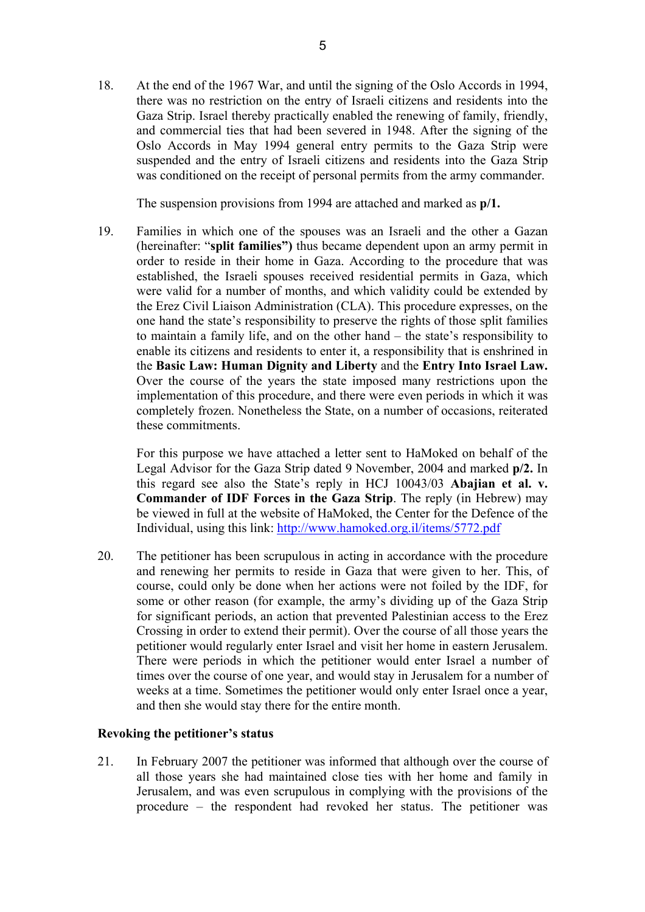18. At the end of the 1967 War, and until the signing of the Oslo Accords in 1994, there was no restriction on the entry of Israeli citizens and residents into the Gaza Strip. Israel thereby practically enabled the renewing of family, friendly, and commercial ties that had been severed in 1948. After the signing of the Oslo Accords in May 1994 general entry permits to the Gaza Strip were suspended and the entry of Israeli citizens and residents into the Gaza Strip was conditioned on the receipt of personal permits from the army commander.

The suspension provisions from 1994 are attached and marked as **p/1.**

19. Families in which one of the spouses was an Israeli and the other a Gazan (hereinafter: "**split families")** thus became dependent upon an army permit in order to reside in their home in Gaza. According to the procedure that was established, the Israeli spouses received residential permits in Gaza, which were valid for a number of months, and which validity could be extended by the Erez Civil Liaison Administration (CLA). This procedure expresses, on the one hand the state's responsibility to preserve the rights of those split families to maintain a family life, and on the other hand – the state's responsibility to enable its citizens and residents to enter it, a responsibility that is enshrined in the **Basic Law: Human Dignity and Liberty** and the **Entry Into Israel Law.**  Over the course of the years the state imposed many restrictions upon the implementation of this procedure, and there were even periods in which it was completely frozen. Nonetheless the State, on a number of occasions, reiterated these commitments.

For this purpose we have attached a letter sent to HaMoked on behalf of the Legal Advisor for the Gaza Strip dated 9 November, 2004 and marked **p/2.** In this regard see also the State's reply in HCJ 10043/03 **Abajian et al. v. Commander of IDF Forces in the Gaza Strip**. The reply (in Hebrew) may be viewed in full at the website of HaMoked, the Center for the Defence of the Individual, using this link: http://www.hamoked.org.il/items/5772.pdf

20. The petitioner has been scrupulous in acting in accordance with the procedure and renewing her permits to reside in Gaza that were given to her. This, of course, could only be done when her actions were not foiled by the IDF, for some or other reason (for example, the army's dividing up of the Gaza Strip for significant periods, an action that prevented Palestinian access to the Erez Crossing in order to extend their permit). Over the course of all those years the petitioner would regularly enter Israel and visit her home in eastern Jerusalem. There were periods in which the petitioner would enter Israel a number of times over the course of one year, and would stay in Jerusalem for a number of weeks at a time. Sometimes the petitioner would only enter Israel once a year, and then she would stay there for the entire month.

## **Revoking the petitioner's status**

21. In February 2007 the petitioner was informed that although over the course of all those years she had maintained close ties with her home and family in Jerusalem, and was even scrupulous in complying with the provisions of the procedure – the respondent had revoked her status. The petitioner was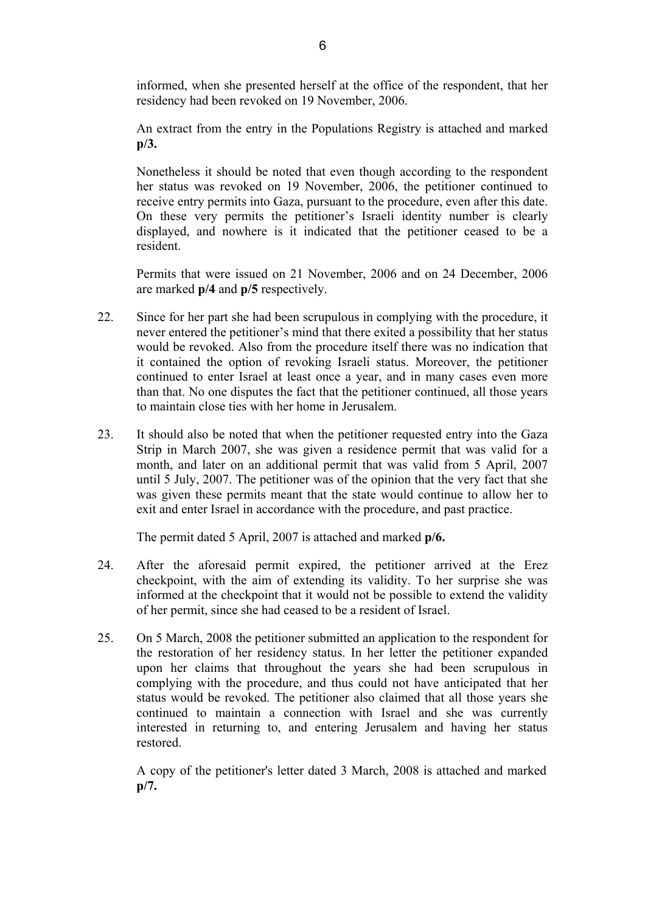informed, when she presented herself at the office of the respondent, that her residency had been revoked on 19 November, 2006.

An extract from the entry in the Populations Registry is attached and marked **p/3.** 

Nonetheless it should be noted that even though according to the respondent her status was revoked on 19 November, 2006, the petitioner continued to receive entry permits into Gaza, pursuant to the procedure, even after this date. On these very permits the petitioner's Israeli identity number is clearly displayed, and nowhere is it indicated that the petitioner ceased to be a resident.

Permits that were issued on 21 November, 2006 and on 24 December, 2006 are marked **p/4** and **p/5** respectively.

- 22. Since for her part she had been scrupulous in complying with the procedure, it never entered the petitioner's mind that there exited a possibility that her status would be revoked. Also from the procedure itself there was no indication that it contained the option of revoking Israeli status. Moreover, the petitioner continued to enter Israel at least once a year, and in many cases even more than that. No one disputes the fact that the petitioner continued, all those years to maintain close ties with her home in Jerusalem.
- 23. It should also be noted that when the petitioner requested entry into the Gaza Strip in March 2007, she was given a residence permit that was valid for a month, and later on an additional permit that was valid from 5 April, 2007 until 5 July, 2007. The petitioner was of the opinion that the very fact that she was given these permits meant that the state would continue to allow her to exit and enter Israel in accordance with the procedure, and past practice.

The permit dated 5 April, 2007 is attached and marked **p/6.** 

- 24. After the aforesaid permit expired, the petitioner arrived at the Erez checkpoint, with the aim of extending its validity. To her surprise she was informed at the checkpoint that it would not be possible to extend the validity of her permit, since she had ceased to be a resident of Israel.
- 25. On 5 March, 2008 the petitioner submitted an application to the respondent for the restoration of her residency status. In her letter the petitioner expanded upon her claims that throughout the years she had been scrupulous in complying with the procedure, and thus could not have anticipated that her status would be revoked. The petitioner also claimed that all those years she continued to maintain a connection with Israel and she was currently interested in returning to, and entering Jerusalem and having her status restored.

A copy of the petitioner's letter dated 3 March, 2008 is attached and marked **p/7.**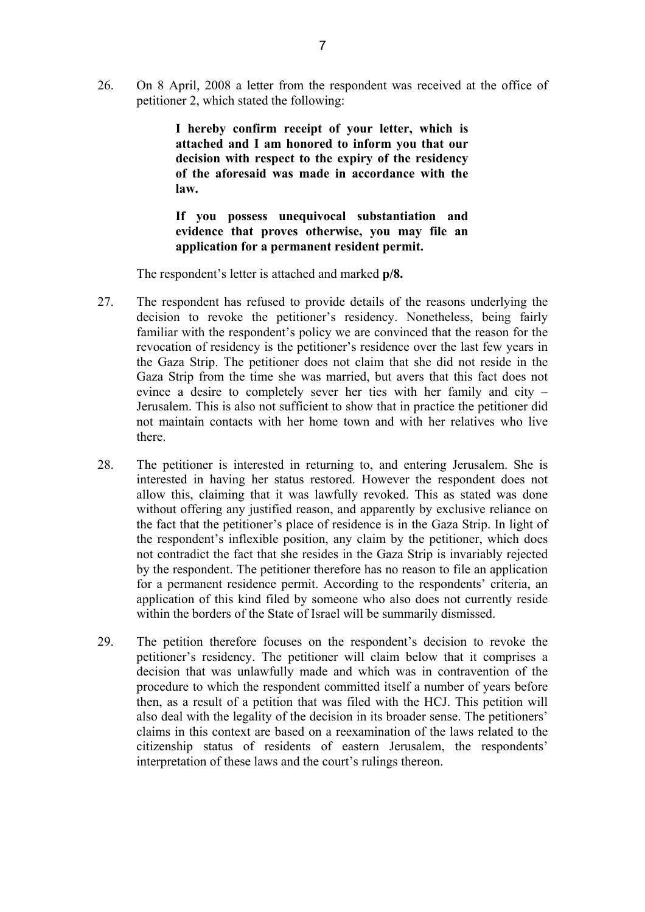26. On 8 April, 2008 a letter from the respondent was received at the office of petitioner 2, which stated the following:

> **I hereby confirm receipt of your letter, which is attached and I am honored to inform you that our decision with respect to the expiry of the residency of the aforesaid was made in accordance with the law.**

> **If you possess unequivocal substantiation and evidence that proves otherwise, you may file an application for a permanent resident permit.**

The respondent's letter is attached and marked **p/8.** 

- 27. The respondent has refused to provide details of the reasons underlying the decision to revoke the petitioner's residency. Nonetheless, being fairly familiar with the respondent's policy we are convinced that the reason for the revocation of residency is the petitioner's residence over the last few years in the Gaza Strip. The petitioner does not claim that she did not reside in the Gaza Strip from the time she was married, but avers that this fact does not evince a desire to completely sever her ties with her family and city – Jerusalem. This is also not sufficient to show that in practice the petitioner did not maintain contacts with her home town and with her relatives who live there.
- 28. The petitioner is interested in returning to, and entering Jerusalem. She is interested in having her status restored. However the respondent does not allow this, claiming that it was lawfully revoked. This as stated was done without offering any justified reason, and apparently by exclusive reliance on the fact that the petitioner's place of residence is in the Gaza Strip. In light of the respondent's inflexible position, any claim by the petitioner, which does not contradict the fact that she resides in the Gaza Strip is invariably rejected by the respondent. The petitioner therefore has no reason to file an application for a permanent residence permit. According to the respondents' criteria, an application of this kind filed by someone who also does not currently reside within the borders of the State of Israel will be summarily dismissed.
- 29. The petition therefore focuses on the respondent's decision to revoke the petitioner's residency. The petitioner will claim below that it comprises a decision that was unlawfully made and which was in contravention of the procedure to which the respondent committed itself a number of years before then, as a result of a petition that was filed with the HCJ. This petition will also deal with the legality of the decision in its broader sense. The petitioners' claims in this context are based on a reexamination of the laws related to the citizenship status of residents of eastern Jerusalem, the respondents' interpretation of these laws and the court's rulings thereon.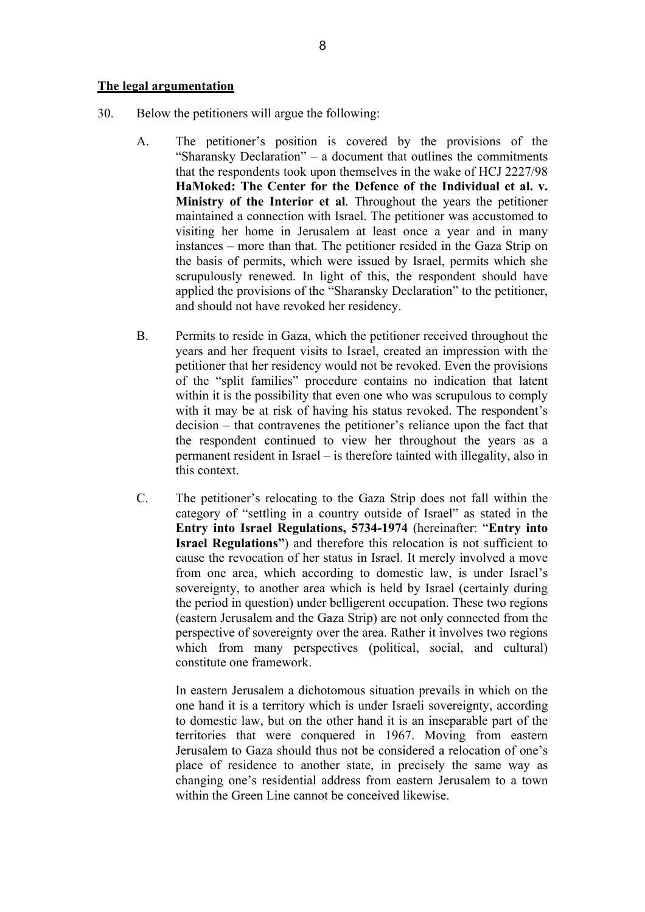#### **The legal argumentation**

- 30. Below the petitioners will argue the following:
	- A. The petitioner's position is covered by the provisions of the "Sharansky Declaration" – a document that outlines the commitments that the respondents took upon themselves in the wake of HCJ 2227/98 **HaMoked: The Center for the Defence of the Individual et al. v. Ministry of the Interior et al**. Throughout the years the petitioner maintained a connection with Israel. The petitioner was accustomed to visiting her home in Jerusalem at least once a year and in many instances – more than that. The petitioner resided in the Gaza Strip on the basis of permits, which were issued by Israel, permits which she scrupulously renewed. In light of this, the respondent should have applied the provisions of the "Sharansky Declaration" to the petitioner, and should not have revoked her residency.
	- B. Permits to reside in Gaza, which the petitioner received throughout the years and her frequent visits to Israel, created an impression with the petitioner that her residency would not be revoked. Even the provisions of the "split families" procedure contains no indication that latent within it is the possibility that even one who was scrupulous to comply with it may be at risk of having his status revoked. The respondent's decision – that contravenes the petitioner's reliance upon the fact that the respondent continued to view her throughout the years as a permanent resident in Israel – is therefore tainted with illegality, also in this context.
	- C. The petitioner's relocating to the Gaza Strip does not fall within the category of "settling in a country outside of Israel" as stated in the **Entry into Israel Regulations, 5734-1974** (hereinafter: "**Entry into Israel Regulations**") and therefore this relocation is not sufficient to cause the revocation of her status in Israel. It merely involved a move from one area, which according to domestic law, is under Israel's sovereignty, to another area which is held by Israel (certainly during the period in question) under belligerent occupation. These two regions (eastern Jerusalem and the Gaza Strip) are not only connected from the perspective of sovereignty over the area. Rather it involves two regions which from many perspectives (political, social, and cultural) constitute one framework.

In eastern Jerusalem a dichotomous situation prevails in which on the one hand it is a territory which is under Israeli sovereignty, according to domestic law, but on the other hand it is an inseparable part of the territories that were conquered in 1967. Moving from eastern Jerusalem to Gaza should thus not be considered a relocation of one's place of residence to another state, in precisely the same way as changing one's residential address from eastern Jerusalem to a town within the Green Line cannot be conceived likewise.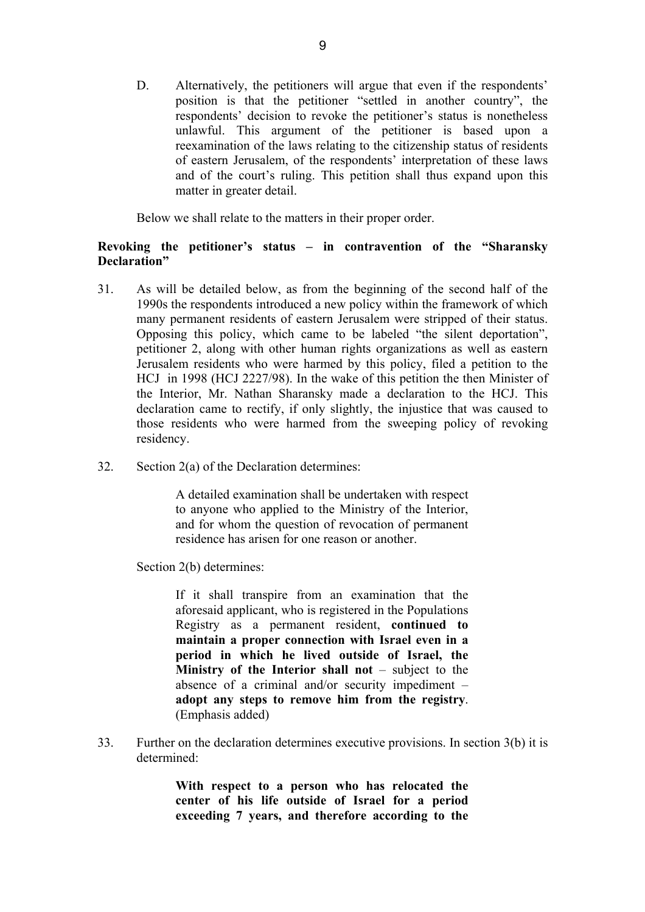D. Alternatively, the petitioners will argue that even if the respondents' position is that the petitioner "settled in another country", the respondents' decision to revoke the petitioner's status is nonetheless unlawful. This argument of the petitioner is based upon a reexamination of the laws relating to the citizenship status of residents of eastern Jerusalem, of the respondents' interpretation of these laws and of the court's ruling. This petition shall thus expand upon this matter in greater detail.

Below we shall relate to the matters in their proper order.

# **Revoking the petitioner's status – in contravention of the "Sharansky Declaration"**

- 31. As will be detailed below, as from the beginning of the second half of the 1990s the respondents introduced a new policy within the framework of which many permanent residents of eastern Jerusalem were stripped of their status. Opposing this policy, which came to be labeled "the silent deportation", petitioner 2, along with other human rights organizations as well as eastern Jerusalem residents who were harmed by this policy, filed a petition to the HCJ in 1998 (HCJ 2227/98). In the wake of this petition the then Minister of the Interior, Mr. Nathan Sharansky made a declaration to the HCJ. This declaration came to rectify, if only slightly, the injustice that was caused to those residents who were harmed from the sweeping policy of revoking residency.
- 32. Section 2(a) of the Declaration determines:

A detailed examination shall be undertaken with respect to anyone who applied to the Ministry of the Interior, and for whom the question of revocation of permanent residence has arisen for one reason or another.

Section 2(b) determines:

If it shall transpire from an examination that the aforesaid applicant, who is registered in the Populations Registry as a permanent resident, **continued to maintain a proper connection with Israel even in a period in which he lived outside of Israel, the Ministry of the Interior shall not** – subject to the absence of a criminal and/or security impediment – **adopt any steps to remove him from the registry**. (Emphasis added)

33. Further on the declaration determines executive provisions. In section 3(b) it is determined:

> **With respect to a person who has relocated the center of his life outside of Israel for a period exceeding 7 years, and therefore according to the**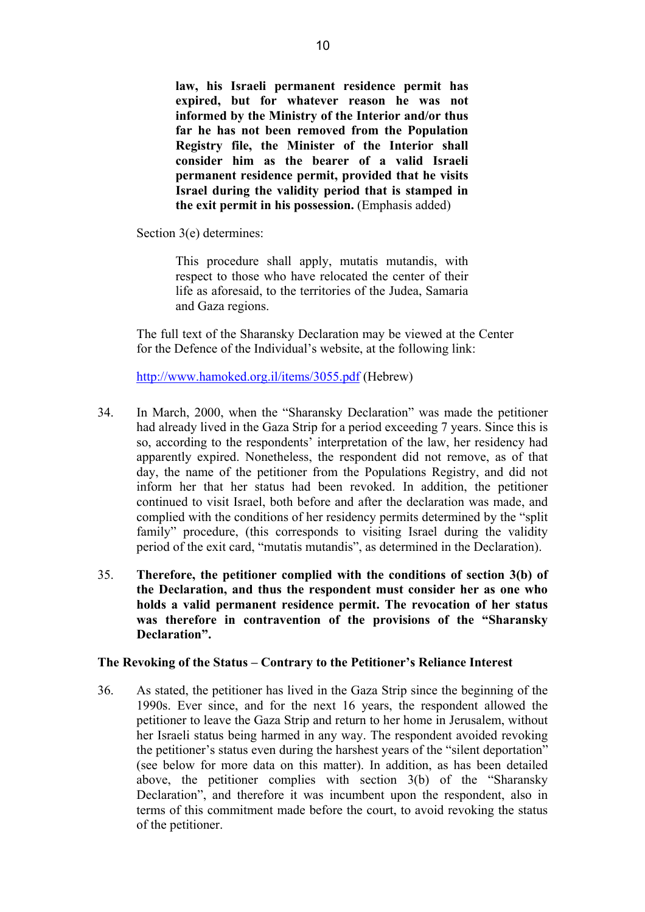**law, his Israeli permanent residence permit has expired, but for whatever reason he was not informed by the Ministry of the Interior and/or thus far he has not been removed from the Population Registry file, the Minister of the Interior shall consider him as the bearer of a valid Israeli permanent residence permit, provided that he visits Israel during the validity period that is stamped in the exit permit in his possession.** (Emphasis added)

Section 3(e) determines:

This procedure shall apply, mutatis mutandis, with respect to those who have relocated the center of their life as aforesaid, to the territories of the Judea, Samaria and Gaza regions.

The full text of the Sharansky Declaration may be viewed at the Center for the Defence of the Individual's website, at the following link:

http://www.hamoked.org.il/items/3055.pdf (Hebrew)

- 34. In March, 2000, when the "Sharansky Declaration" was made the petitioner had already lived in the Gaza Strip for a period exceeding 7 years. Since this is so, according to the respondents' interpretation of the law, her residency had apparently expired. Nonetheless, the respondent did not remove, as of that day, the name of the petitioner from the Populations Registry, and did not inform her that her status had been revoked. In addition, the petitioner continued to visit Israel, both before and after the declaration was made, and complied with the conditions of her residency permits determined by the "split family" procedure, (this corresponds to visiting Israel during the validity period of the exit card, "mutatis mutandis", as determined in the Declaration).
- 35. **Therefore, the petitioner complied with the conditions of section 3(b) of the Declaration, and thus the respondent must consider her as one who holds a valid permanent residence permit. The revocation of her status was therefore in contravention of the provisions of the "Sharansky Declaration".**

#### **The Revoking of the Status – Contrary to the Petitioner's Reliance Interest**

36. As stated, the petitioner has lived in the Gaza Strip since the beginning of the 1990s. Ever since, and for the next 16 years, the respondent allowed the petitioner to leave the Gaza Strip and return to her home in Jerusalem, without her Israeli status being harmed in any way. The respondent avoided revoking the petitioner's status even during the harshest years of the "silent deportation" (see below for more data on this matter). In addition, as has been detailed above, the petitioner complies with section 3(b) of the "Sharansky Declaration", and therefore it was incumbent upon the respondent, also in terms of this commitment made before the court, to avoid revoking the status of the petitioner.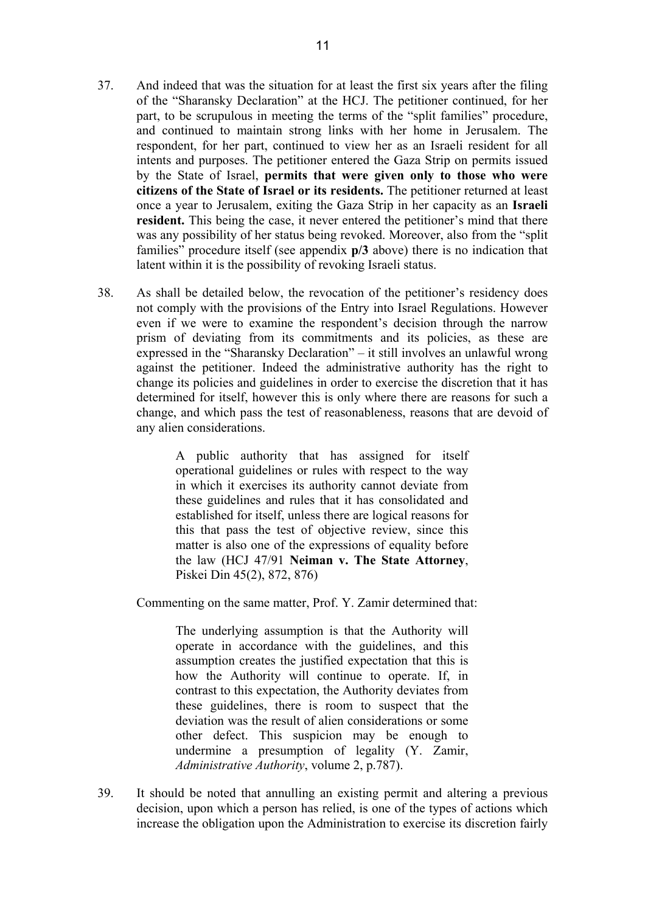- 37. And indeed that was the situation for at least the first six years after the filing of the "Sharansky Declaration" at the HCJ. The petitioner continued, for her part, to be scrupulous in meeting the terms of the "split families" procedure, and continued to maintain strong links with her home in Jerusalem. The respondent, for her part, continued to view her as an Israeli resident for all intents and purposes. The petitioner entered the Gaza Strip on permits issued by the State of Israel, **permits that were given only to those who were citizens of the State of Israel or its residents.** The petitioner returned at least once a year to Jerusalem, exiting the Gaza Strip in her capacity as an **Israeli resident.** This being the case, it never entered the petitioner's mind that there was any possibility of her status being revoked. Moreover, also from the "split families" procedure itself (see appendix **p/3** above) there is no indication that latent within it is the possibility of revoking Israeli status.
- 38. As shall be detailed below, the revocation of the petitioner's residency does not comply with the provisions of the Entry into Israel Regulations. However even if we were to examine the respondent's decision through the narrow prism of deviating from its commitments and its policies, as these are expressed in the "Sharansky Declaration" – it still involves an unlawful wrong against the petitioner. Indeed the administrative authority has the right to change its policies and guidelines in order to exercise the discretion that it has determined for itself, however this is only where there are reasons for such a change, and which pass the test of reasonableness, reasons that are devoid of any alien considerations.

A public authority that has assigned for itself operational guidelines or rules with respect to the way in which it exercises its authority cannot deviate from these guidelines and rules that it has consolidated and established for itself, unless there are logical reasons for this that pass the test of objective review, since this matter is also one of the expressions of equality before the law (HCJ 47/91 **Neiman v. The State Attorney**, Piskei Din 45(2), 872, 876)

Commenting on the same matter, Prof. Y. Zamir determined that:

The underlying assumption is that the Authority will operate in accordance with the guidelines, and this assumption creates the justified expectation that this is how the Authority will continue to operate. If, in contrast to this expectation, the Authority deviates from these guidelines, there is room to suspect that the deviation was the result of alien considerations or some other defect. This suspicion may be enough to undermine a presumption of legality (Y. Zamir, *Administrative Authority*, volume 2, p.787).

39. It should be noted that annulling an existing permit and altering a previous decision, upon which a person has relied, is one of the types of actions which increase the obligation upon the Administration to exercise its discretion fairly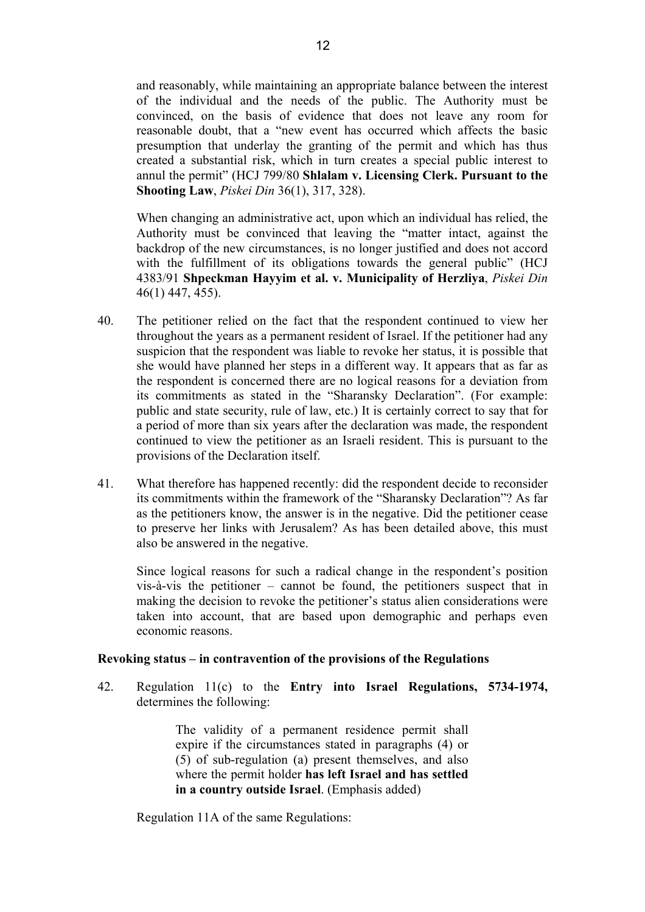and reasonably, while maintaining an appropriate balance between the interest of the individual and the needs of the public. The Authority must be convinced, on the basis of evidence that does not leave any room for reasonable doubt, that a "new event has occurred which affects the basic presumption that underlay the granting of the permit and which has thus created a substantial risk, which in turn creates a special public interest to annul the permit" (HCJ 799/80 **Shlalam v. Licensing Clerk. Pursuant to the Shooting Law**, *Piskei Din* 36(1), 317, 328).

When changing an administrative act, upon which an individual has relied, the Authority must be convinced that leaving the "matter intact, against the backdrop of the new circumstances, is no longer justified and does not accord with the fulfillment of its obligations towards the general public" (HCJ 4383/91 **Shpeckman Hayyim et al. v. Municipality of Herzliya**, *Piskei Din*  46(1) 447, 455).

- 40. The petitioner relied on the fact that the respondent continued to view her throughout the years as a permanent resident of Israel. If the petitioner had any suspicion that the respondent was liable to revoke her status, it is possible that she would have planned her steps in a different way. It appears that as far as the respondent is concerned there are no logical reasons for a deviation from its commitments as stated in the "Sharansky Declaration". (For example: public and state security, rule of law, etc.) It is certainly correct to say that for a period of more than six years after the declaration was made, the respondent continued to view the petitioner as an Israeli resident. This is pursuant to the provisions of the Declaration itself.
- 41. What therefore has happened recently: did the respondent decide to reconsider its commitments within the framework of the "Sharansky Declaration"? As far as the petitioners know, the answer is in the negative. Did the petitioner cease to preserve her links with Jerusalem? As has been detailed above, this must also be answered in the negative.

Since logical reasons for such a radical change in the respondent's position vis-à-vis the petitioner – cannot be found, the petitioners suspect that in making the decision to revoke the petitioner's status alien considerations were taken into account, that are based upon demographic and perhaps even economic reasons.

## **Revoking status – in contravention of the provisions of the Regulations**

42. Regulation 11(c) to the **Entry into Israel Regulations, 5734-1974,**  determines the following:

> The validity of a permanent residence permit shall expire if the circumstances stated in paragraphs (4) or (5) of sub-regulation (a) present themselves, and also where the permit holder **has left Israel and has settled in a country outside Israel**. (Emphasis added)

Regulation 11A of the same Regulations: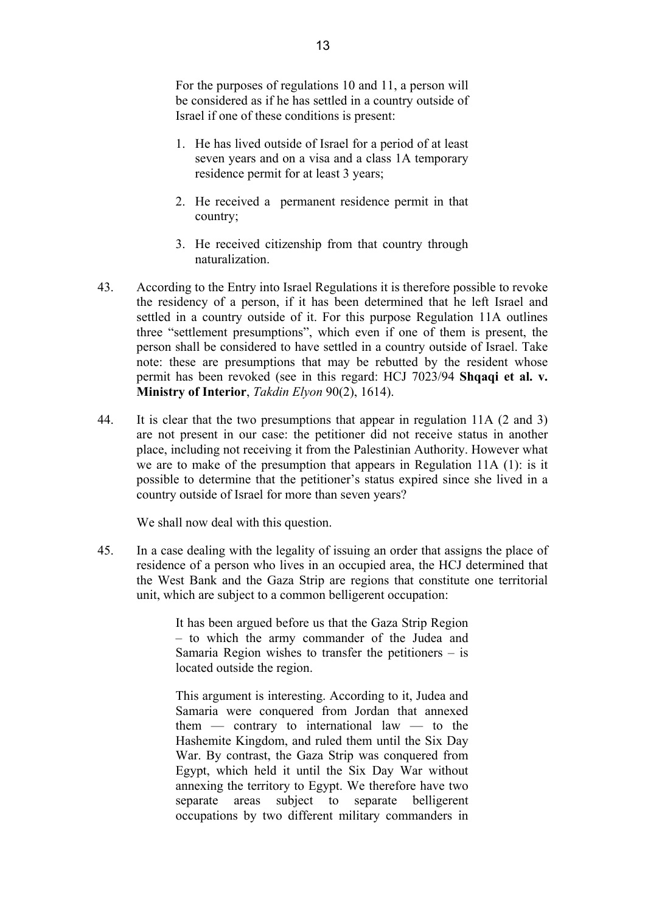For the purposes of regulations 10 and 11, a person will be considered as if he has settled in a country outside of Israel if one of these conditions is present:

- 1. He has lived outside of Israel for a period of at least seven years and on a visa and a class 1A temporary residence permit for at least 3 years;
- 2. He received a permanent residence permit in that country;
- 3. He received citizenship from that country through naturalization.
- 43. According to the Entry into Israel Regulations it is therefore possible to revoke the residency of a person, if it has been determined that he left Israel and settled in a country outside of it. For this purpose Regulation 11A outlines three "settlement presumptions", which even if one of them is present, the person shall be considered to have settled in a country outside of Israel. Take note: these are presumptions that may be rebutted by the resident whose permit has been revoked (see in this regard: HCJ 7023/94 **Shqaqi et al. v. Ministry of Interior**, *Takdin Elyon* 90(2), 1614).
- 44. It is clear that the two presumptions that appear in regulation 11A (2 and 3) are not present in our case: the petitioner did not receive status in another place, including not receiving it from the Palestinian Authority. However what we are to make of the presumption that appears in Regulation 11A (1): is it possible to determine that the petitioner's status expired since she lived in a country outside of Israel for more than seven years?

We shall now deal with this question.

45. In a case dealing with the legality of issuing an order that assigns the place of residence of a person who lives in an occupied area, the HCJ determined that the West Bank and the Gaza Strip are regions that constitute one territorial unit, which are subject to a common belligerent occupation:

> It has been argued before us that the Gaza Strip Region – to which the army commander of the Judea and Samaria Region wishes to transfer the petitioners – is located outside the region.

> This argument is interesting. According to it, Judea and Samaria were conquered from Jordan that annexed them — contrary to international law — to the Hashemite Kingdom, and ruled them until the Six Day War. By contrast, the Gaza Strip was conquered from Egypt, which held it until the Six Day War without annexing the territory to Egypt. We therefore have two separate areas subject to separate belligerent occupations by two different military commanders in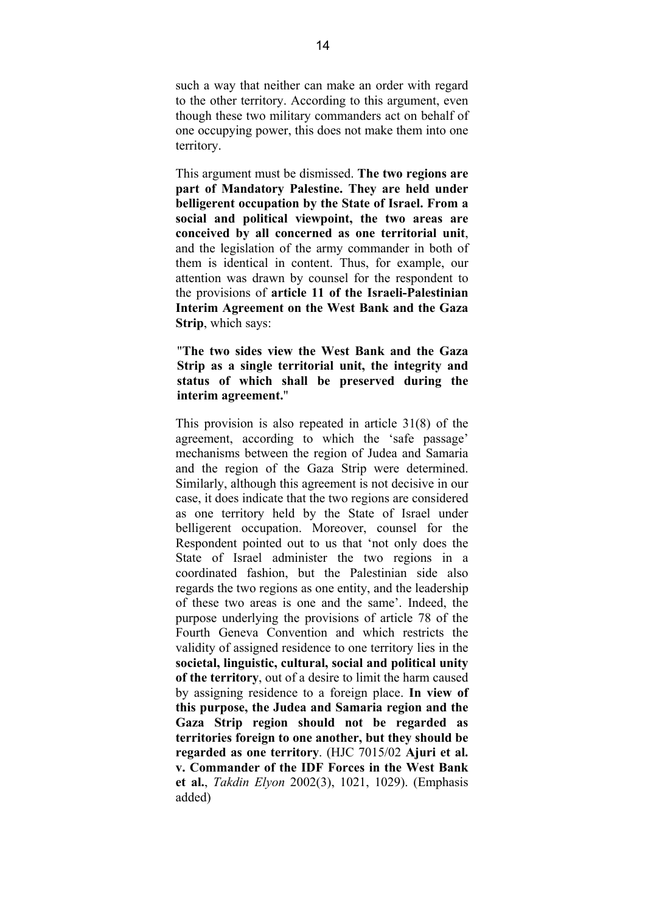such a way that neither can make an order with regard to the other territory. According to this argument, even though these two military commanders act on behalf of one occupying power, this does not make them into one territory.

This argument must be dismissed. **The two regions are part of Mandatory Palestine. They are held under belligerent occupation by the State of Israel. From a social and political viewpoint, the two areas are conceived by all concerned as one territorial unit**, and the legislation of the army commander in both of them is identical in content. Thus, for example, our attention was drawn by counsel for the respondent to the provisions of **article 11 of the Israeli-Palestinian Interim Agreement on the West Bank and the Gaza Strip**, which says:

"**The two sides view the West Bank and the Gaza Strip as a single territorial unit, the integrity and status of which shall be preserved during the interim agreement.**"

This provision is also repeated in article 31(8) of the agreement, according to which the 'safe passage' mechanisms between the region of Judea and Samaria and the region of the Gaza Strip were determined. Similarly, although this agreement is not decisive in our case, it does indicate that the two regions are considered as one territory held by the State of Israel under belligerent occupation. Moreover, counsel for the Respondent pointed out to us that 'not only does the State of Israel administer the two regions in a coordinated fashion, but the Palestinian side also regards the two regions as one entity, and the leadership of these two areas is one and the same'. Indeed, the purpose underlying the provisions of article 78 of the Fourth Geneva Convention and which restricts the validity of assigned residence to one territory lies in the **societal, linguistic, cultural, social and political unity of the territory**, out of a desire to limit the harm caused by assigning residence to a foreign place. **In view of this purpose, the Judea and Samaria region and the Gaza Strip region should not be regarded as territories foreign to one another, but they should be regarded as one territory**. (HJC 7015/02 **Ajuri et al. v. Commander of the IDF Forces in the West Bank et al.**, *Takdin Elyon* 2002(3), 1021, 1029). (Emphasis added)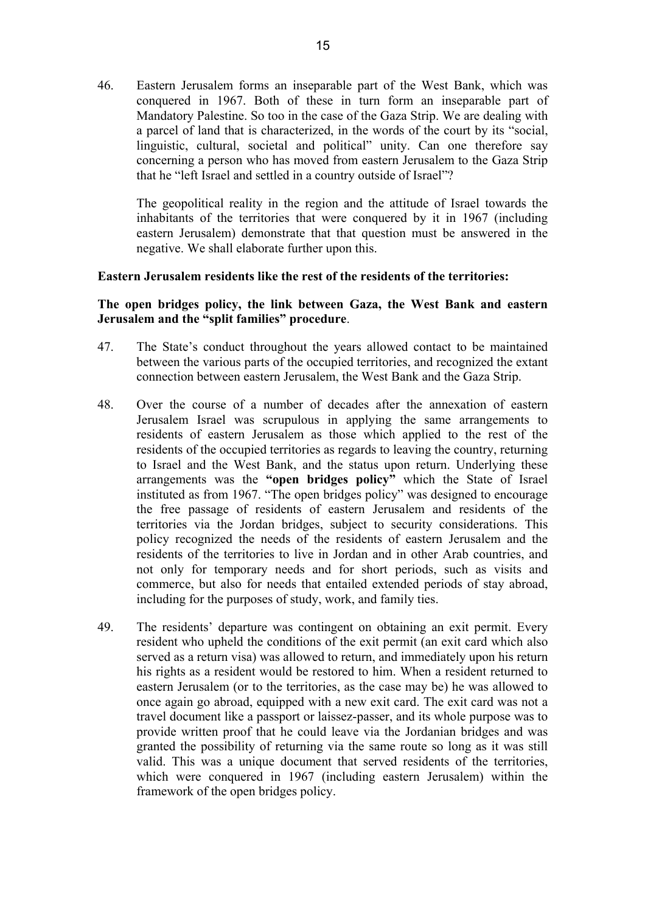46. Eastern Jerusalem forms an inseparable part of the West Bank, which was conquered in 1967. Both of these in turn form an inseparable part of Mandatory Palestine. So too in the case of the Gaza Strip. We are dealing with a parcel of land that is characterized, in the words of the court by its "social, linguistic, cultural, societal and political" unity. Can one therefore say concerning a person who has moved from eastern Jerusalem to the Gaza Strip that he "left Israel and settled in a country outside of Israel"?

The geopolitical reality in the region and the attitude of Israel towards the inhabitants of the territories that were conquered by it in 1967 (including eastern Jerusalem) demonstrate that that question must be answered in the negative. We shall elaborate further upon this.

## **Eastern Jerusalem residents like the rest of the residents of the territories:**

## **The open bridges policy, the link between Gaza, the West Bank and eastern Jerusalem and the "split families" procedure**.

- 47. The State's conduct throughout the years allowed contact to be maintained between the various parts of the occupied territories, and recognized the extant connection between eastern Jerusalem, the West Bank and the Gaza Strip.
- 48. Over the course of a number of decades after the annexation of eastern Jerusalem Israel was scrupulous in applying the same arrangements to residents of eastern Jerusalem as those which applied to the rest of the residents of the occupied territories as regards to leaving the country, returning to Israel and the West Bank, and the status upon return. Underlying these arrangements was the **"open bridges policy"** which the State of Israel instituted as from 1967. "The open bridges policy" was designed to encourage the free passage of residents of eastern Jerusalem and residents of the territories via the Jordan bridges, subject to security considerations. This policy recognized the needs of the residents of eastern Jerusalem and the residents of the territories to live in Jordan and in other Arab countries, and not only for temporary needs and for short periods, such as visits and commerce, but also for needs that entailed extended periods of stay abroad, including for the purposes of study, work, and family ties.
- 49. The residents' departure was contingent on obtaining an exit permit. Every resident who upheld the conditions of the exit permit (an exit card which also served as a return visa) was allowed to return, and immediately upon his return his rights as a resident would be restored to him. When a resident returned to eastern Jerusalem (or to the territories, as the case may be) he was allowed to once again go abroad, equipped with a new exit card. The exit card was not a travel document like a passport or laissez-passer, and its whole purpose was to provide written proof that he could leave via the Jordanian bridges and was granted the possibility of returning via the same route so long as it was still valid. This was a unique document that served residents of the territories, which were conquered in 1967 (including eastern Jerusalem) within the framework of the open bridges policy.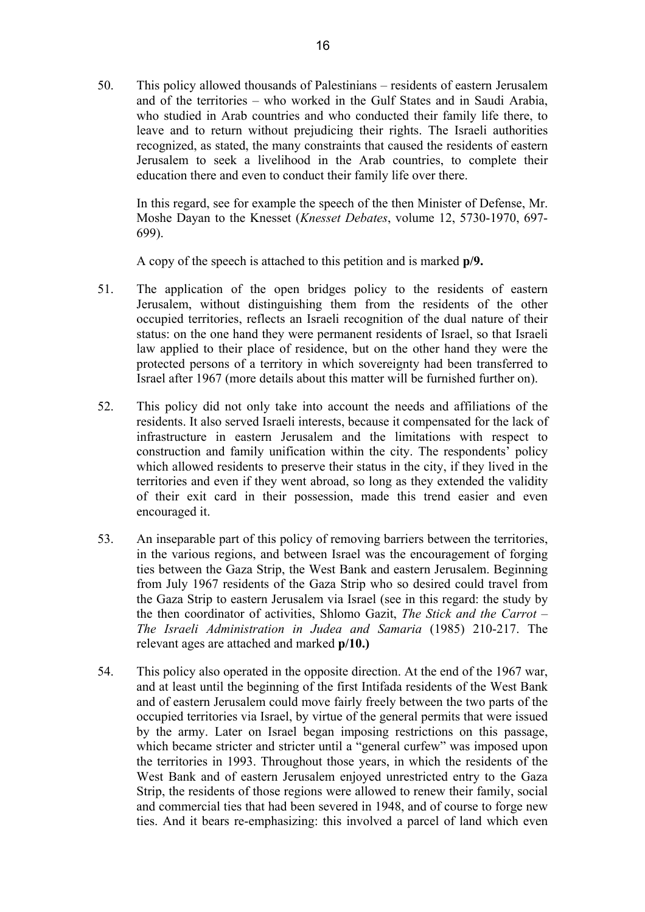50. This policy allowed thousands of Palestinians – residents of eastern Jerusalem and of the territories – who worked in the Gulf States and in Saudi Arabia, who studied in Arab countries and who conducted their family life there, to leave and to return without prejudicing their rights. The Israeli authorities recognized, as stated, the many constraints that caused the residents of eastern Jerusalem to seek a livelihood in the Arab countries, to complete their education there and even to conduct their family life over there.

In this regard, see for example the speech of the then Minister of Defense, Mr. Moshe Dayan to the Knesset (*Knesset Debates*, volume 12, 5730-1970, 697- 699).

A copy of the speech is attached to this petition and is marked **p/9.** 

- 51. The application of the open bridges policy to the residents of eastern Jerusalem, without distinguishing them from the residents of the other occupied territories, reflects an Israeli recognition of the dual nature of their status: on the one hand they were permanent residents of Israel, so that Israeli law applied to their place of residence, but on the other hand they were the protected persons of a territory in which sovereignty had been transferred to Israel after 1967 (more details about this matter will be furnished further on).
- 52. This policy did not only take into account the needs and affiliations of the residents. It also served Israeli interests, because it compensated for the lack of infrastructure in eastern Jerusalem and the limitations with respect to construction and family unification within the city. The respondents' policy which allowed residents to preserve their status in the city, if they lived in the territories and even if they went abroad, so long as they extended the validity of their exit card in their possession, made this trend easier and even encouraged it.
- 53. An inseparable part of this policy of removing barriers between the territories, in the various regions, and between Israel was the encouragement of forging ties between the Gaza Strip, the West Bank and eastern Jerusalem. Beginning from July 1967 residents of the Gaza Strip who so desired could travel from the Gaza Strip to eastern Jerusalem via Israel (see in this regard: the study by the then coordinator of activities, Shlomo Gazit, *The Stick and the Carrot – The Israeli Administration in Judea and Samaria* (1985) 210-217. The relevant ages are attached and marked **p/10.)**
- 54. This policy also operated in the opposite direction. At the end of the 1967 war, and at least until the beginning of the first Intifada residents of the West Bank and of eastern Jerusalem could move fairly freely between the two parts of the occupied territories via Israel, by virtue of the general permits that were issued by the army. Later on Israel began imposing restrictions on this passage, which became stricter and stricter until a "general curfew" was imposed upon the territories in 1993. Throughout those years, in which the residents of the West Bank and of eastern Jerusalem enjoyed unrestricted entry to the Gaza Strip, the residents of those regions were allowed to renew their family, social and commercial ties that had been severed in 1948, and of course to forge new ties. And it bears re-emphasizing: this involved a parcel of land which even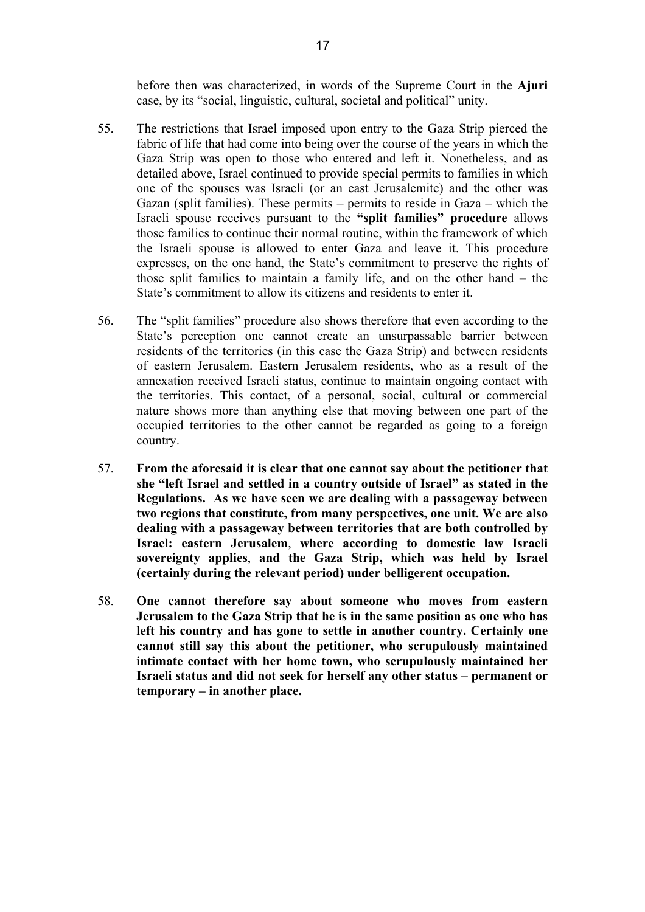before then was characterized, in words of the Supreme Court in the **Ajuri** case, by its "social, linguistic, cultural, societal and political" unity.

- 55. The restrictions that Israel imposed upon entry to the Gaza Strip pierced the fabric of life that had come into being over the course of the years in which the Gaza Strip was open to those who entered and left it. Nonetheless, and as detailed above, Israel continued to provide special permits to families in which one of the spouses was Israeli (or an east Jerusalemite) and the other was Gazan (split families). These permits – permits to reside in Gaza – which the Israeli spouse receives pursuant to the **"split families" procedure** allows those families to continue their normal routine, within the framework of which the Israeli spouse is allowed to enter Gaza and leave it. This procedure expresses, on the one hand, the State's commitment to preserve the rights of those split families to maintain a family life, and on the other hand – the State's commitment to allow its citizens and residents to enter it.
- 56. The "split families" procedure also shows therefore that even according to the State's perception one cannot create an unsurpassable barrier between residents of the territories (in this case the Gaza Strip) and between residents of eastern Jerusalem. Eastern Jerusalem residents, who as a result of the annexation received Israeli status, continue to maintain ongoing contact with the territories. This contact, of a personal, social, cultural or commercial nature shows more than anything else that moving between one part of the occupied territories to the other cannot be regarded as going to a foreign country.
- 57. **From the aforesaid it is clear that one cannot say about the petitioner that she "left Israel and settled in a country outside of Israel" as stated in the Regulations. As we have seen we are dealing with a passageway between two regions that constitute, from many perspectives, one unit. We are also dealing with a passageway between territories that are both controlled by Israel: eastern Jerusalem**, **where according to domestic law Israeli sovereignty applies**, **and the Gaza Strip, which was held by Israel (certainly during the relevant period) under belligerent occupation.**
- 58. **One cannot therefore say about someone who moves from eastern Jerusalem to the Gaza Strip that he is in the same position as one who has left his country and has gone to settle in another country. Certainly one cannot still say this about the petitioner, who scrupulously maintained intimate contact with her home town, who scrupulously maintained her Israeli status and did not seek for herself any other status – permanent or temporary – in another place.**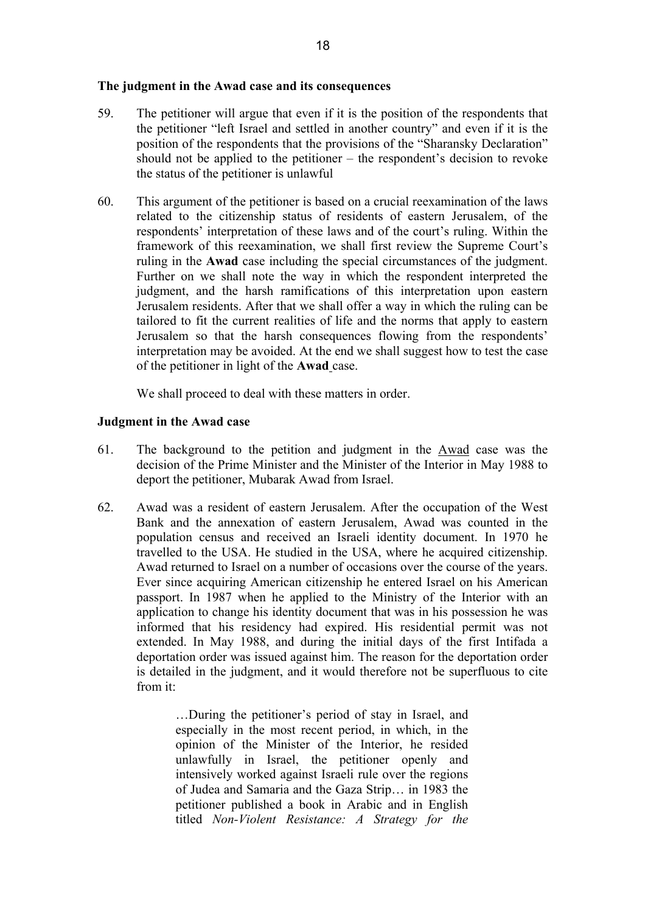#### **The judgment in the Awad case and its consequences**

- 59. The petitioner will argue that even if it is the position of the respondents that the petitioner "left Israel and settled in another country" and even if it is the position of the respondents that the provisions of the "Sharansky Declaration" should not be applied to the petitioner – the respondent's decision to revoke the status of the petitioner is unlawful
- 60. This argument of the petitioner is based on a crucial reexamination of the laws related to the citizenship status of residents of eastern Jerusalem, of the respondents' interpretation of these laws and of the court's ruling. Within the framework of this reexamination, we shall first review the Supreme Court's ruling in the **Awad** case including the special circumstances of the judgment. Further on we shall note the way in which the respondent interpreted the judgment, and the harsh ramifications of this interpretation upon eastern Jerusalem residents. After that we shall offer a way in which the ruling can be tailored to fit the current realities of life and the norms that apply to eastern Jerusalem so that the harsh consequences flowing from the respondents' interpretation may be avoided. At the end we shall suggest how to test the case of the petitioner in light of the **Awad** case.

We shall proceed to deal with these matters in order.

#### **Judgment in the Awad case**

- 61. The background to the petition and judgment in the Awad case was the decision of the Prime Minister and the Minister of the Interior in May 1988 to deport the petitioner, Mubarak Awad from Israel.
- 62. Awad was a resident of eastern Jerusalem. After the occupation of the West Bank and the annexation of eastern Jerusalem, Awad was counted in the population census and received an Israeli identity document. In 1970 he travelled to the USA. He studied in the USA, where he acquired citizenship. Awad returned to Israel on a number of occasions over the course of the years. Ever since acquiring American citizenship he entered Israel on his American passport. In 1987 when he applied to the Ministry of the Interior with an application to change his identity document that was in his possession he was informed that his residency had expired. His residential permit was not extended. In May 1988, and during the initial days of the first Intifada a deportation order was issued against him. The reason for the deportation order is detailed in the judgment, and it would therefore not be superfluous to cite from it:

…During the petitioner's period of stay in Israel, and especially in the most recent period, in which, in the opinion of the Minister of the Interior, he resided unlawfully in Israel, the petitioner openly and intensively worked against Israeli rule over the regions of Judea and Samaria and the Gaza Strip… in 1983 the petitioner published a book in Arabic and in English titled *Non-Violent Resistance: A Strategy for the*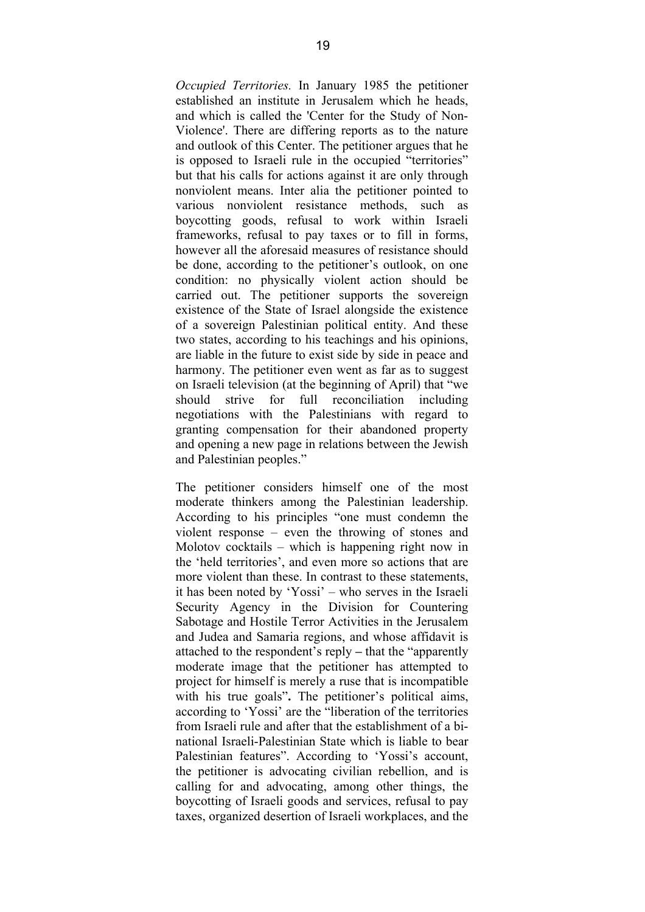*Occupied Territories.* In January 1985 the petitioner established an institute in Jerusalem which he heads, and which is called the 'Center for the Study of Non-Violence'. There are differing reports as to the nature and outlook of this Center. The petitioner argues that he is opposed to Israeli rule in the occupied "territories" but that his calls for actions against it are only through nonviolent means. Inter alia the petitioner pointed to various nonviolent resistance methods, such as boycotting goods, refusal to work within Israeli frameworks, refusal to pay taxes or to fill in forms, however all the aforesaid measures of resistance should be done, according to the petitioner's outlook, on one condition: no physically violent action should be carried out. The petitioner supports the sovereign existence of the State of Israel alongside the existence of a sovereign Palestinian political entity. And these two states, according to his teachings and his opinions, are liable in the future to exist side by side in peace and harmony. The petitioner even went as far as to suggest on Israeli television (at the beginning of April) that "we should strive for full reconciliation including negotiations with the Palestinians with regard to granting compensation for their abandoned property and opening a new page in relations between the Jewish and Palestinian peoples."

The petitioner considers himself one of the most moderate thinkers among the Palestinian leadership. According to his principles "one must condemn the violent response – even the throwing of stones and Molotov cocktails – which is happening right now in the 'held territories', and even more so actions that are more violent than these. In contrast to these statements, it has been noted by 'Yossi' – who serves in the Israeli Security Agency in the Division for Countering Sabotage and Hostile Terror Activities in the Jerusalem and Judea and Samaria regions, and whose affidavit is attached to the respondent's reply **–** that the "apparently moderate image that the petitioner has attempted to project for himself is merely a ruse that is incompatible with his true goals". The petitioner's political aims, according to 'Yossi' are the "liberation of the territories from Israeli rule and after that the establishment of a binational Israeli-Palestinian State which is liable to bear Palestinian features". According to 'Yossi's account, the petitioner is advocating civilian rebellion, and is calling for and advocating, among other things, the boycotting of Israeli goods and services, refusal to pay taxes, organized desertion of Israeli workplaces, and the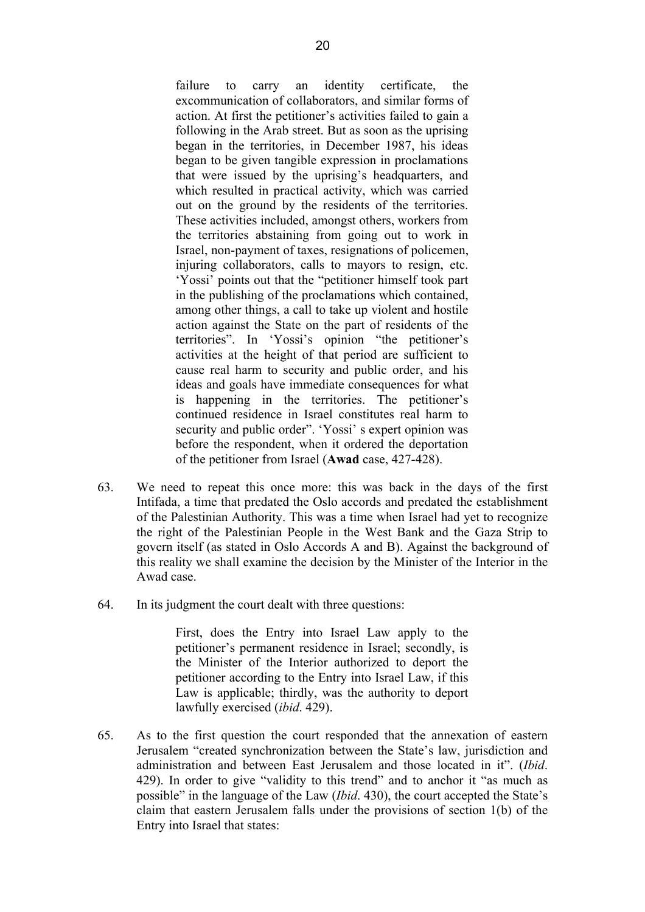failure to carry an identity certificate, the excommunication of collaborators, and similar forms of action. At first the petitioner's activities failed to gain a following in the Arab street. But as soon as the uprising began in the territories, in December 1987, his ideas began to be given tangible expression in proclamations that were issued by the uprising's headquarters, and which resulted in practical activity, which was carried out on the ground by the residents of the territories. These activities included, amongst others, workers from the territories abstaining from going out to work in Israel, non-payment of taxes, resignations of policemen, injuring collaborators, calls to mayors to resign, etc. 'Yossi' points out that the "petitioner himself took part in the publishing of the proclamations which contained, among other things, a call to take up violent and hostile action against the State on the part of residents of the territories". In 'Yossi's opinion "the petitioner's activities at the height of that period are sufficient to cause real harm to security and public order, and his ideas and goals have immediate consequences for what is happening in the territories. The petitioner's continued residence in Israel constitutes real harm to security and public order". 'Yossi' s expert opinion was before the respondent, when it ordered the deportation of the petitioner from Israel (**Awad** case, 427-428).

- 63. We need to repeat this once more: this was back in the days of the first Intifada, a time that predated the Oslo accords and predated the establishment of the Palestinian Authority. This was a time when Israel had yet to recognize the right of the Palestinian People in the West Bank and the Gaza Strip to govern itself (as stated in Oslo Accords A and B). Against the background of this reality we shall examine the decision by the Minister of the Interior in the Awad case.
- 64. In its judgment the court dealt with three questions:

First, does the Entry into Israel Law apply to the petitioner's permanent residence in Israel; secondly, is the Minister of the Interior authorized to deport the petitioner according to the Entry into Israel Law, if this Law is applicable; thirdly, was the authority to deport lawfully exercised (*ibid*. 429).

65. As to the first question the court responded that the annexation of eastern Jerusalem "created synchronization between the State's law, jurisdiction and administration and between East Jerusalem and those located in it". (*Ibid*. 429). In order to give "validity to this trend" and to anchor it "as much as possible" in the language of the Law (*Ibid*. 430), the court accepted the State's claim that eastern Jerusalem falls under the provisions of section 1(b) of the Entry into Israel that states: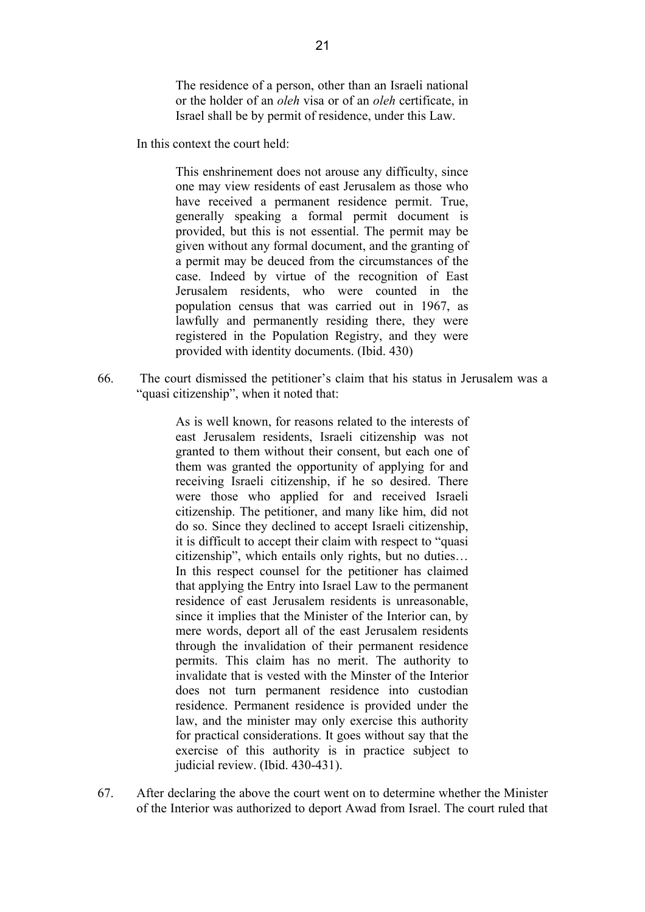The residence of a person, other than an Israeli national or the holder of an *oleh* visa or of an *oleh* certificate, in Israel shall be by permit of residence, under this Law.

In this context the court held:

This enshrinement does not arouse any difficulty, since one may view residents of east Jerusalem as those who have received a permanent residence permit. True, generally speaking a formal permit document is provided, but this is not essential. The permit may be given without any formal document, and the granting of a permit may be deuced from the circumstances of the case. Indeed by virtue of the recognition of East Jerusalem residents, who were counted in the population census that was carried out in 1967, as lawfully and permanently residing there, they were registered in the Population Registry, and they were provided with identity documents. (Ibid. 430)

66. The court dismissed the petitioner's claim that his status in Jerusalem was a "quasi citizenship", when it noted that:

> As is well known, for reasons related to the interests of east Jerusalem residents, Israeli citizenship was not granted to them without their consent, but each one of them was granted the opportunity of applying for and receiving Israeli citizenship, if he so desired. There were those who applied for and received Israeli citizenship. The petitioner, and many like him, did not do so. Since they declined to accept Israeli citizenship, it is difficult to accept their claim with respect to "quasi citizenship", which entails only rights, but no duties… In this respect counsel for the petitioner has claimed that applying the Entry into Israel Law to the permanent residence of east Jerusalem residents is unreasonable, since it implies that the Minister of the Interior can, by mere words, deport all of the east Jerusalem residents through the invalidation of their permanent residence permits. This claim has no merit. The authority to invalidate that is vested with the Minster of the Interior does not turn permanent residence into custodian residence. Permanent residence is provided under the law, and the minister may only exercise this authority for practical considerations. It goes without say that the exercise of this authority is in practice subject to judicial review. (Ibid. 430-431).

67. After declaring the above the court went on to determine whether the Minister of the Interior was authorized to deport Awad from Israel. The court ruled that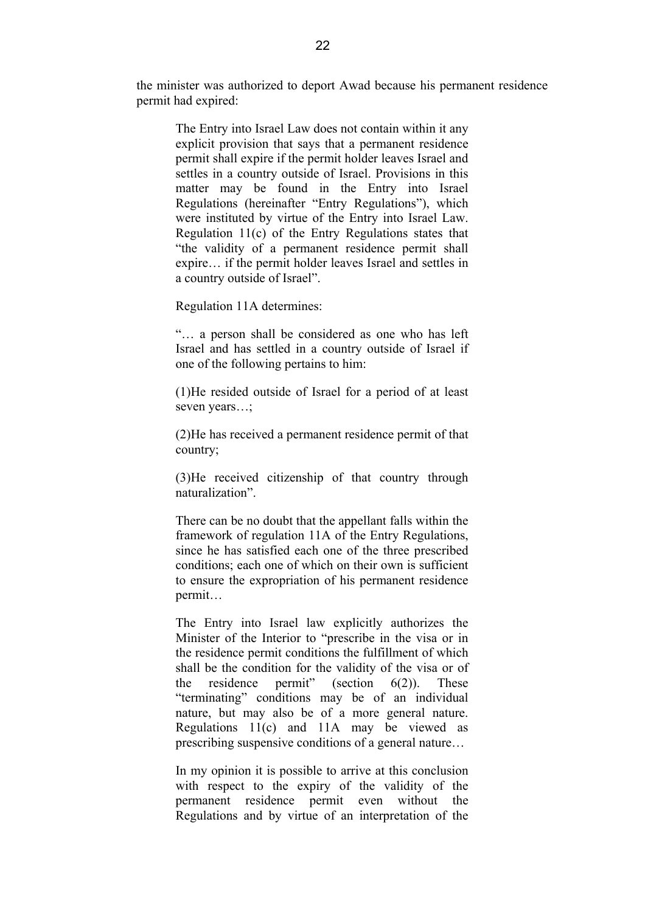the minister was authorized to deport Awad because his permanent residence permit had expired:

The Entry into Israel Law does not contain within it any explicit provision that says that a permanent residence permit shall expire if the permit holder leaves Israel and settles in a country outside of Israel. Provisions in this matter may be found in the Entry into Israel Regulations (hereinafter "Entry Regulations"), which were instituted by virtue of the Entry into Israel Law. Regulation 11(c) of the Entry Regulations states that "the validity of a permanent residence permit shall expire… if the permit holder leaves Israel and settles in a country outside of Israel".

Regulation 11A determines:

"… a person shall be considered as one who has left Israel and has settled in a country outside of Israel if one of the following pertains to him:

(1)He resided outside of Israel for a period of at least seven years...;

(2)He has received a permanent residence permit of that country;

(3)He received citizenship of that country through naturalization".

There can be no doubt that the appellant falls within the framework of regulation 11A of the Entry Regulations, since he has satisfied each one of the three prescribed conditions; each one of which on their own is sufficient to ensure the expropriation of his permanent residence permit…

The Entry into Israel law explicitly authorizes the Minister of the Interior to "prescribe in the visa or in the residence permit conditions the fulfillment of which shall be the condition for the validity of the visa or of the residence permit" (section  $6(2)$ ). These "terminating" conditions may be of an individual nature, but may also be of a more general nature. Regulations 11(c) and 11A may be viewed as prescribing suspensive conditions of a general nature…

In my opinion it is possible to arrive at this conclusion with respect to the expiry of the validity of the permanent residence permit even without the Regulations and by virtue of an interpretation of the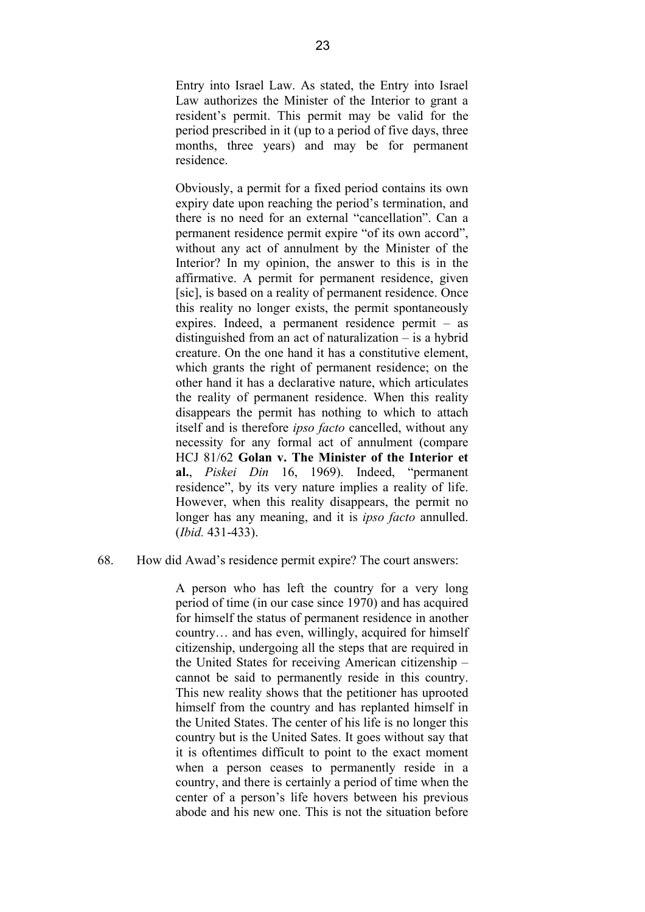Entry into Israel Law. As stated, the Entry into Israel Law authorizes the Minister of the Interior to grant a resident's permit. This permit may be valid for the period prescribed in it (up to a period of five days, three months, three years) and may be for permanent residence.

Obviously, a permit for a fixed period contains its own expiry date upon reaching the period's termination, and there is no need for an external "cancellation". Can a permanent residence permit expire "of its own accord", without any act of annulment by the Minister of the Interior? In my opinion, the answer to this is in the affirmative. A permit for permanent residence, given [sic], is based on a reality of permanent residence. Once this reality no longer exists, the permit spontaneously expires. Indeed, a permanent residence permit – as distinguished from an act of naturalization – is a hybrid creature. On the one hand it has a constitutive element, which grants the right of permanent residence; on the other hand it has a declarative nature, which articulates the reality of permanent residence. When this reality disappears the permit has nothing to which to attach itself and is therefore *ipso facto* cancelled, without any necessity for any formal act of annulment (compare HCJ 81/62 **Golan v. The Minister of the Interior et al.**, *Piskei Din* 16, 1969). Indeed, "permanent residence", by its very nature implies a reality of life. However, when this reality disappears, the permit no longer has any meaning, and it is *ipso facto* annulled. (*Ibid.* 431-433).

#### 68. How did Awad's residence permit expire? The court answers:

A person who has left the country for a very long period of time (in our case since 1970) and has acquired for himself the status of permanent residence in another country… and has even, willingly, acquired for himself citizenship, undergoing all the steps that are required in the United States for receiving American citizenship – cannot be said to permanently reside in this country. This new reality shows that the petitioner has uprooted himself from the country and has replanted himself in the United States. The center of his life is no longer this country but is the United Sates. It goes without say that it is oftentimes difficult to point to the exact moment when a person ceases to permanently reside in a country, and there is certainly a period of time when the center of a person's life hovers between his previous abode and his new one. This is not the situation before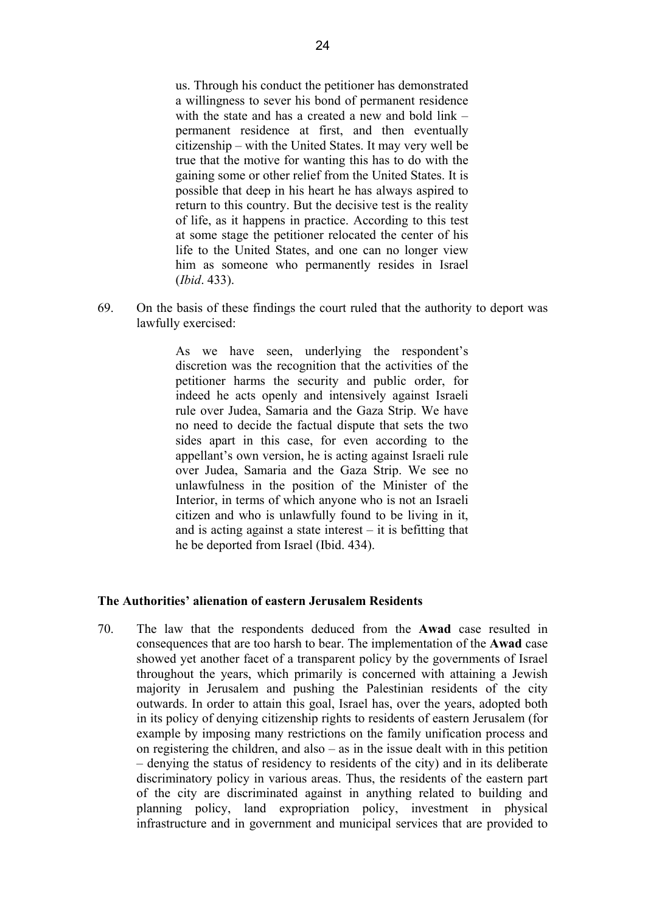us. Through his conduct the petitioner has demonstrated a willingness to sever his bond of permanent residence with the state and has a created a new and bold link – permanent residence at first, and then eventually citizenship – with the United States. It may very well be true that the motive for wanting this has to do with the gaining some or other relief from the United States. It is possible that deep in his heart he has always aspired to return to this country. But the decisive test is the reality of life, as it happens in practice. According to this test at some stage the petitioner relocated the center of his life to the United States, and one can no longer view him as someone who permanently resides in Israel (*Ibid*. 433).

69. On the basis of these findings the court ruled that the authority to deport was lawfully exercised:

> As we have seen, underlying the respondent's discretion was the recognition that the activities of the petitioner harms the security and public order, for indeed he acts openly and intensively against Israeli rule over Judea, Samaria and the Gaza Strip. We have no need to decide the factual dispute that sets the two sides apart in this case, for even according to the appellant's own version, he is acting against Israeli rule over Judea, Samaria and the Gaza Strip. We see no unlawfulness in the position of the Minister of the Interior, in terms of which anyone who is not an Israeli citizen and who is unlawfully found to be living in it, and is acting against a state interest – it is befitting that he be deported from Israel (Ibid. 434).

#### **The Authorities' alienation of eastern Jerusalem Residents**

70. The law that the respondents deduced from the **Awad** case resulted in consequences that are too harsh to bear. The implementation of the **Awad** case showed yet another facet of a transparent policy by the governments of Israel throughout the years, which primarily is concerned with attaining a Jewish majority in Jerusalem and pushing the Palestinian residents of the city outwards. In order to attain this goal, Israel has, over the years, adopted both in its policy of denying citizenship rights to residents of eastern Jerusalem (for example by imposing many restrictions on the family unification process and on registering the children, and also  $-$  as in the issue dealt with in this petition – denying the status of residency to residents of the city) and in its deliberate discriminatory policy in various areas. Thus, the residents of the eastern part of the city are discriminated against in anything related to building and planning policy, land expropriation policy, investment in physical infrastructure and in government and municipal services that are provided to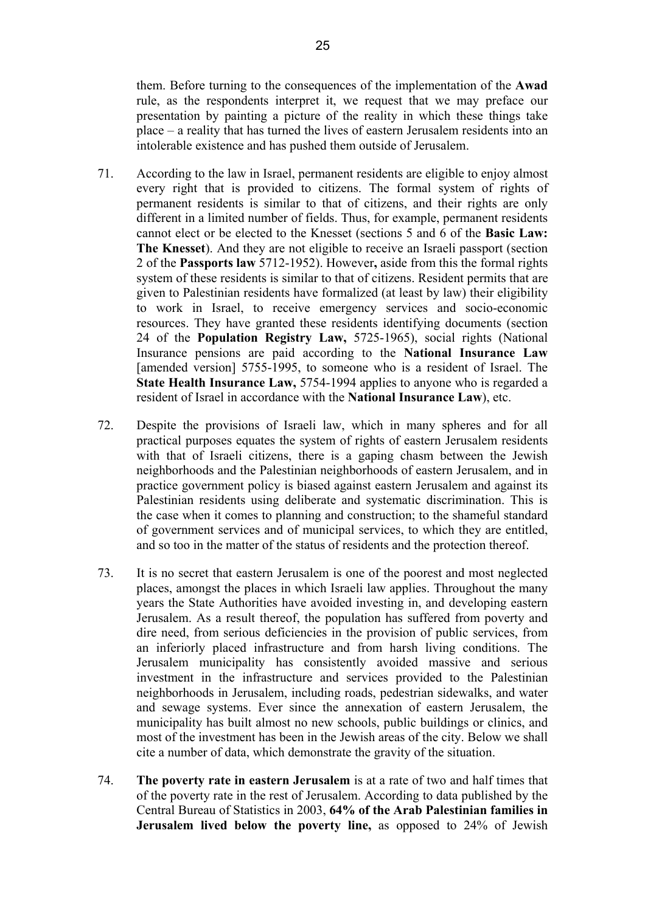them. Before turning to the consequences of the implementation of the **Awad** rule, as the respondents interpret it, we request that we may preface our presentation by painting a picture of the reality in which these things take place – a reality that has turned the lives of eastern Jerusalem residents into an intolerable existence and has pushed them outside of Jerusalem.

- 71. According to the law in Israel, permanent residents are eligible to enjoy almost every right that is provided to citizens. The formal system of rights of permanent residents is similar to that of citizens, and their rights are only different in a limited number of fields. Thus, for example, permanent residents cannot elect or be elected to the Knesset (sections 5 and 6 of the **Basic Law: The Knesset**). And they are not eligible to receive an Israeli passport (section 2 of the **Passports law** 5712-1952). However**,** aside from this the formal rights system of these residents is similar to that of citizens. Resident permits that are given to Palestinian residents have formalized (at least by law) their eligibility to work in Israel, to receive emergency services and socio-economic resources. They have granted these residents identifying documents (section 24 of the **Population Registry Law,** 5725-1965), social rights (National Insurance pensions are paid according to the **National Insurance Law**  [amended version] 5755-1995, to someone who is a resident of Israel. The **State Health Insurance Law,** 5754-1994 applies to anyone who is regarded a resident of Israel in accordance with the **National Insurance Law**), etc.
- 72. Despite the provisions of Israeli law, which in many spheres and for all practical purposes equates the system of rights of eastern Jerusalem residents with that of Israeli citizens, there is a gaping chasm between the Jewish neighborhoods and the Palestinian neighborhoods of eastern Jerusalem, and in practice government policy is biased against eastern Jerusalem and against its Palestinian residents using deliberate and systematic discrimination. This is the case when it comes to planning and construction; to the shameful standard of government services and of municipal services, to which they are entitled, and so too in the matter of the status of residents and the protection thereof.
- 73. It is no secret that eastern Jerusalem is one of the poorest and most neglected places, amongst the places in which Israeli law applies. Throughout the many years the State Authorities have avoided investing in, and developing eastern Jerusalem. As a result thereof, the population has suffered from poverty and dire need, from serious deficiencies in the provision of public services, from an inferiorly placed infrastructure and from harsh living conditions. The Jerusalem municipality has consistently avoided massive and serious investment in the infrastructure and services provided to the Palestinian neighborhoods in Jerusalem, including roads, pedestrian sidewalks, and water and sewage systems. Ever since the annexation of eastern Jerusalem, the municipality has built almost no new schools, public buildings or clinics, and most of the investment has been in the Jewish areas of the city. Below we shall cite a number of data, which demonstrate the gravity of the situation.
- 74. **The poverty rate in eastern Jerusalem** is at a rate of two and half times that of the poverty rate in the rest of Jerusalem. According to data published by the Central Bureau of Statistics in 2003, **64% of the Arab Palestinian families in Jerusalem lived below the poverty line,** as opposed to 24% of Jewish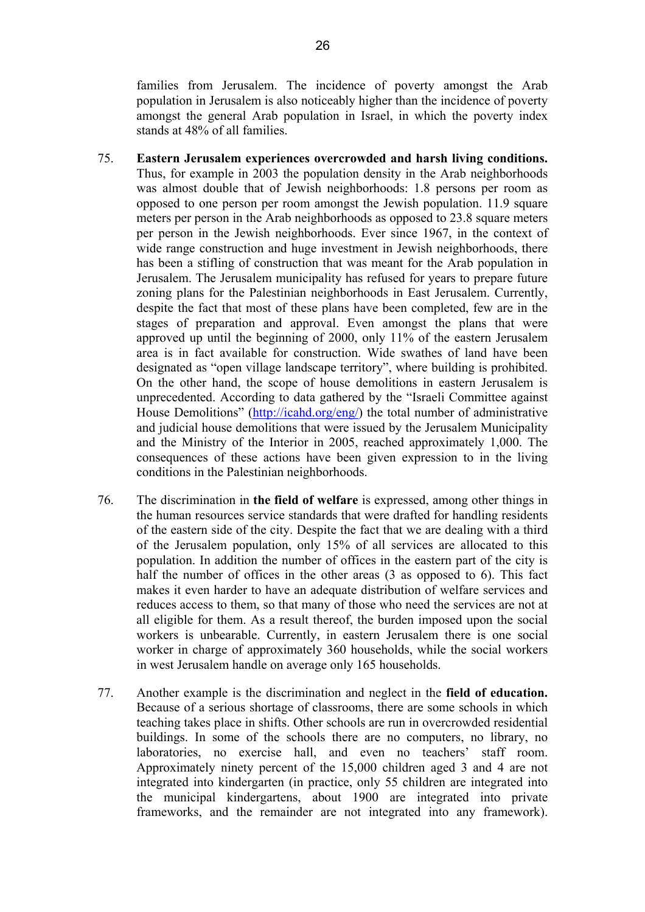families from Jerusalem. The incidence of poverty amongst the Arab population in Jerusalem is also noticeably higher than the incidence of poverty amongst the general Arab population in Israel, in which the poverty index stands at 48% of all families.

- 75. **Eastern Jerusalem experiences overcrowded and harsh living conditions.**  Thus, for example in 2003 the population density in the Arab neighborhoods was almost double that of Jewish neighborhoods: 1.8 persons per room as opposed to one person per room amongst the Jewish population. 11.9 square meters per person in the Arab neighborhoods as opposed to 23.8 square meters per person in the Jewish neighborhoods. Ever since 1967, in the context of wide range construction and huge investment in Jewish neighborhoods, there has been a stifling of construction that was meant for the Arab population in Jerusalem. The Jerusalem municipality has refused for years to prepare future zoning plans for the Palestinian neighborhoods in East Jerusalem. Currently, despite the fact that most of these plans have been completed, few are in the stages of preparation and approval. Even amongst the plans that were approved up until the beginning of 2000, only 11% of the eastern Jerusalem area is in fact available for construction. Wide swathes of land have been designated as "open village landscape territory", where building is prohibited. On the other hand, the scope of house demolitions in eastern Jerusalem is unprecedented. According to data gathered by the "Israeli Committee against House Demolitions" (http://icahd.org/eng/) the total number of administrative and judicial house demolitions that were issued by the Jerusalem Municipality and the Ministry of the Interior in 2005, reached approximately 1,000. The consequences of these actions have been given expression to in the living conditions in the Palestinian neighborhoods.
- 76. The discrimination in **the field of welfare** is expressed, among other things in the human resources service standards that were drafted for handling residents of the eastern side of the city. Despite the fact that we are dealing with a third of the Jerusalem population, only 15% of all services are allocated to this population. In addition the number of offices in the eastern part of the city is half the number of offices in the other areas (3 as opposed to 6). This fact makes it even harder to have an adequate distribution of welfare services and reduces access to them, so that many of those who need the services are not at all eligible for them. As a result thereof, the burden imposed upon the social workers is unbearable. Currently, in eastern Jerusalem there is one social worker in charge of approximately 360 households, while the social workers in west Jerusalem handle on average only 165 households.
- 77. Another example is the discrimination and neglect in the **field of education.**  Because of a serious shortage of classrooms, there are some schools in which teaching takes place in shifts. Other schools are run in overcrowded residential buildings. In some of the schools there are no computers, no library, no laboratories, no exercise hall, and even no teachers' staff room. Approximately ninety percent of the 15,000 children aged 3 and 4 are not integrated into kindergarten (in practice, only 55 children are integrated into the municipal kindergartens, about 1900 are integrated into private frameworks, and the remainder are not integrated into any framework).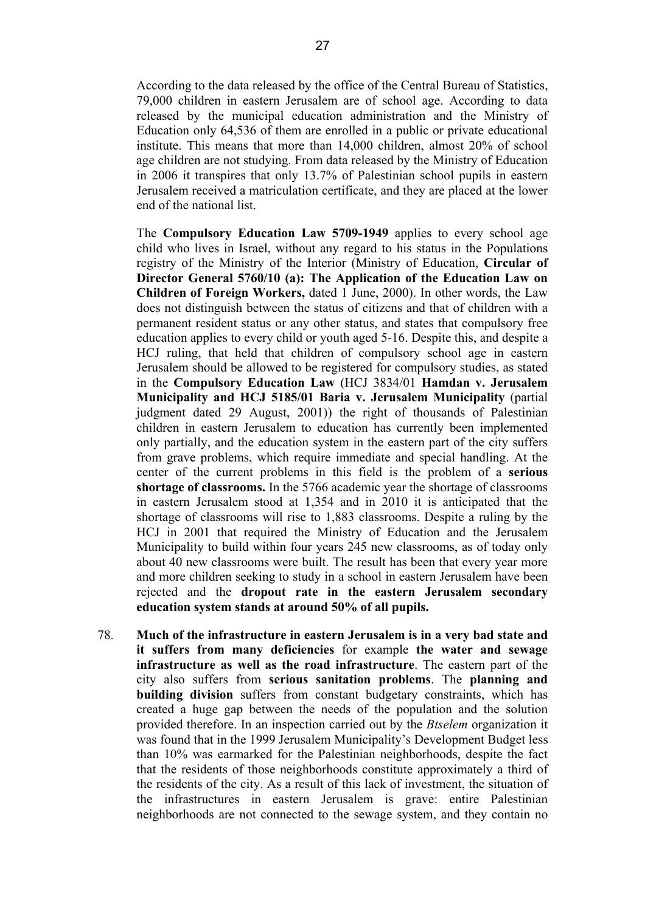According to the data released by the office of the Central Bureau of Statistics, 79,000 children in eastern Jerusalem are of school age. According to data released by the municipal education administration and the Ministry of Education only 64,536 of them are enrolled in a public or private educational institute. This means that more than 14,000 children, almost 20% of school age children are not studying. From data released by the Ministry of Education in 2006 it transpires that only 13.7% of Palestinian school pupils in eastern Jerusalem received a matriculation certificate, and they are placed at the lower end of the national list.

The **Compulsory Education Law 5709-1949** applies to every school age child who lives in Israel, without any regard to his status in the Populations registry of the Ministry of the Interior (Ministry of Education, **Circular of Director General 5760/10 (a): The Application of the Education Law on Children of Foreign Workers,** dated 1 June, 2000). In other words, the Law does not distinguish between the status of citizens and that of children with a permanent resident status or any other status, and states that compulsory free education applies to every child or youth aged 5-16. Despite this, and despite a HCJ ruling, that held that children of compulsory school age in eastern Jerusalem should be allowed to be registered for compulsory studies, as stated in the **Compulsory Education Law** (HCJ 3834/01 **Hamdan v. Jerusalem Municipality and HCJ 5185/01 Baria v. Jerusalem Municipality** (partial judgment dated 29 August, 2001)) the right of thousands of Palestinian children in eastern Jerusalem to education has currently been implemented only partially, and the education system in the eastern part of the city suffers from grave problems, which require immediate and special handling. At the center of the current problems in this field is the problem of a **serious shortage of classrooms.** In the 5766 academic year the shortage of classrooms in eastern Jerusalem stood at 1,354 and in 2010 it is anticipated that the shortage of classrooms will rise to 1,883 classrooms. Despite a ruling by the HCJ in 2001 that required the Ministry of Education and the Jerusalem Municipality to build within four years 245 new classrooms, as of today only about 40 new classrooms were built. The result has been that every year more and more children seeking to study in a school in eastern Jerusalem have been rejected and the **dropout rate in the eastern Jerusalem secondary education system stands at around 50% of all pupils.**

78. **Much of the infrastructure in eastern Jerusalem is in a very bad state and it suffers from many deficiencies** for example **the water and sewage infrastructure as well as the road infrastructure**. The eastern part of the city also suffers from **serious sanitation problems**. The **planning and building division** suffers from constant budgetary constraints, which has created a huge gap between the needs of the population and the solution provided therefore. In an inspection carried out by the *Btselem* organization it was found that in the 1999 Jerusalem Municipality's Development Budget less than 10% was earmarked for the Palestinian neighborhoods, despite the fact that the residents of those neighborhoods constitute approximately a third of the residents of the city. As a result of this lack of investment, the situation of the infrastructures in eastern Jerusalem is grave: entire Palestinian neighborhoods are not connected to the sewage system, and they contain no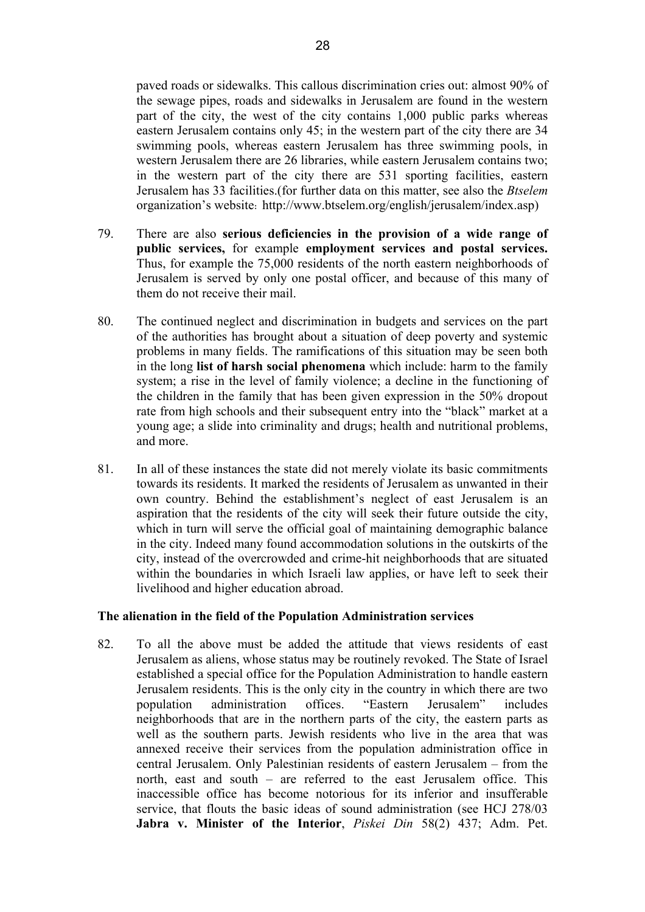paved roads or sidewalks. This callous discrimination cries out: almost 90% of the sewage pipes, roads and sidewalks in Jerusalem are found in the western part of the city, the west of the city contains 1,000 public parks whereas eastern Jerusalem contains only 45; in the western part of the city there are 34 swimming pools, whereas eastern Jerusalem has three swimming pools, in western Jerusalem there are 26 libraries, while eastern Jerusalem contains two; in the western part of the city there are 531 sporting facilities, eastern Jerusalem has 33 facilities.(for further data on this matter, see also the *Btselem* organization's website: http://www.btselem.org/english/jerusalem/index.asp)

- 79. There are also **serious deficiencies in the provision of a wide range of public services,** for example **employment services and postal services.**  Thus, for example the 75,000 residents of the north eastern neighborhoods of Jerusalem is served by only one postal officer, and because of this many of them do not receive their mail.
- 80. The continued neglect and discrimination in budgets and services on the part of the authorities has brought about a situation of deep poverty and systemic problems in many fields. The ramifications of this situation may be seen both in the long **list of harsh social phenomena** which include: harm to the family system; a rise in the level of family violence; a decline in the functioning of the children in the family that has been given expression in the 50% dropout rate from high schools and their subsequent entry into the "black" market at a young age; a slide into criminality and drugs; health and nutritional problems, and more.
- 81. In all of these instances the state did not merely violate its basic commitments towards its residents. It marked the residents of Jerusalem as unwanted in their own country. Behind the establishment's neglect of east Jerusalem is an aspiration that the residents of the city will seek their future outside the city, which in turn will serve the official goal of maintaining demographic balance in the city. Indeed many found accommodation solutions in the outskirts of the city, instead of the overcrowded and crime-hit neighborhoods that are situated within the boundaries in which Israeli law applies, or have left to seek their livelihood and higher education abroad.

#### **The alienation in the field of the Population Administration services**

82. To all the above must be added the attitude that views residents of east Jerusalem as aliens, whose status may be routinely revoked. The State of Israel established a special office for the Population Administration to handle eastern Jerusalem residents. This is the only city in the country in which there are two population administration offices. "Eastern Jerusalem" includes neighborhoods that are in the northern parts of the city, the eastern parts as well as the southern parts. Jewish residents who live in the area that was annexed receive their services from the population administration office in central Jerusalem. Only Palestinian residents of eastern Jerusalem – from the north, east and south – are referred to the east Jerusalem office. This inaccessible office has become notorious for its inferior and insufferable service, that flouts the basic ideas of sound administration (see HCJ 278/03 **Jabra v. Minister of the Interior**, *Piskei Din* 58(2) 437; Adm. Pet.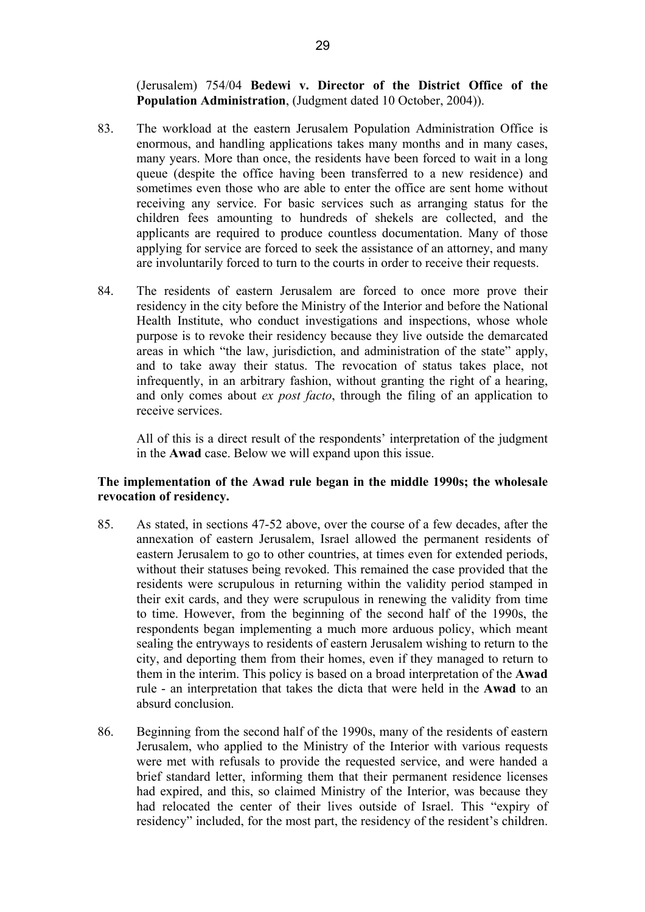(Jerusalem) 754/04 **Bedewi v. Director of the District Office of the Population Administration**, (Judgment dated 10 October, 2004)).

- 83. The workload at the eastern Jerusalem Population Administration Office is enormous, and handling applications takes many months and in many cases, many years. More than once, the residents have been forced to wait in a long queue (despite the office having been transferred to a new residence) and sometimes even those who are able to enter the office are sent home without receiving any service. For basic services such as arranging status for the children fees amounting to hundreds of shekels are collected, and the applicants are required to produce countless documentation. Many of those applying for service are forced to seek the assistance of an attorney, and many are involuntarily forced to turn to the courts in order to receive their requests.
- 84. The residents of eastern Jerusalem are forced to once more prove their residency in the city before the Ministry of the Interior and before the National Health Institute, who conduct investigations and inspections, whose whole purpose is to revoke their residency because they live outside the demarcated areas in which "the law, jurisdiction, and administration of the state" apply, and to take away their status. The revocation of status takes place, not infrequently, in an arbitrary fashion, without granting the right of a hearing, and only comes about *ex post facto*, through the filing of an application to receive services.

All of this is a direct result of the respondents' interpretation of the judgment in the **Awad** case. Below we will expand upon this issue.

# **The implementation of the Awad rule began in the middle 1990s; the wholesale revocation of residency.**

- 85. As stated, in sections 47-52 above, over the course of a few decades, after the annexation of eastern Jerusalem, Israel allowed the permanent residents of eastern Jerusalem to go to other countries, at times even for extended periods, without their statuses being revoked. This remained the case provided that the residents were scrupulous in returning within the validity period stamped in their exit cards, and they were scrupulous in renewing the validity from time to time. However, from the beginning of the second half of the 1990s, the respondents began implementing a much more arduous policy, which meant sealing the entryways to residents of eastern Jerusalem wishing to return to the city, and deporting them from their homes, even if they managed to return to them in the interim. This policy is based on a broad interpretation of the **Awad** rule - an interpretation that takes the dicta that were held in the **Awad** to an absurd conclusion.
- 86. Beginning from the second half of the 1990s, many of the residents of eastern Jerusalem, who applied to the Ministry of the Interior with various requests were met with refusals to provide the requested service, and were handed a brief standard letter, informing them that their permanent residence licenses had expired, and this, so claimed Ministry of the Interior, was because they had relocated the center of their lives outside of Israel. This "expiry of residency" included, for the most part, the residency of the resident's children.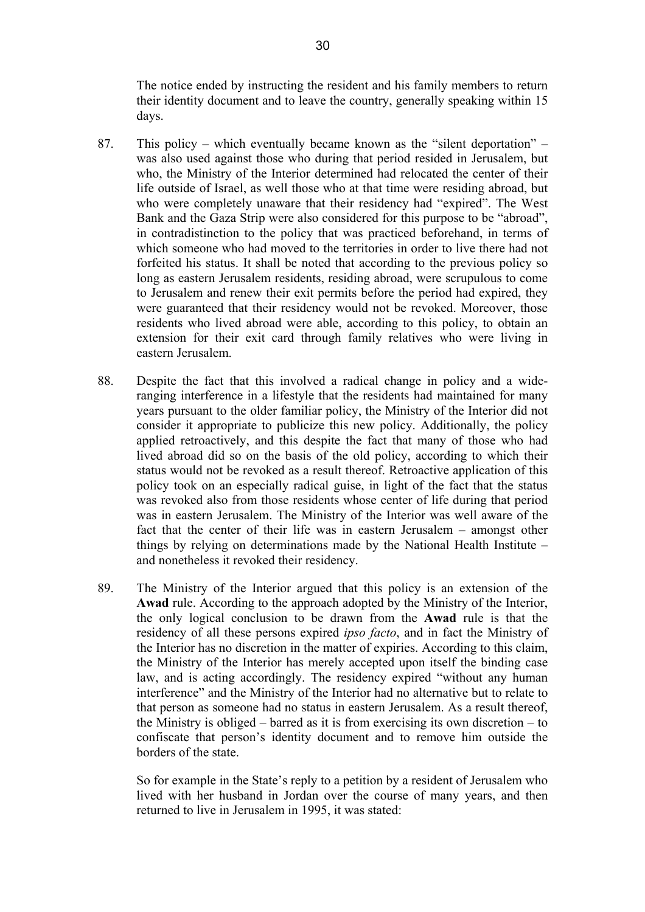The notice ended by instructing the resident and his family members to return their identity document and to leave the country, generally speaking within 15 days.

- 87. This policy which eventually became known as the "silent deportation" was also used against those who during that period resided in Jerusalem, but who, the Ministry of the Interior determined had relocated the center of their life outside of Israel, as well those who at that time were residing abroad, but who were completely unaware that their residency had "expired". The West Bank and the Gaza Strip were also considered for this purpose to be "abroad", in contradistinction to the policy that was practiced beforehand, in terms of which someone who had moved to the territories in order to live there had not forfeited his status. It shall be noted that according to the previous policy so long as eastern Jerusalem residents, residing abroad, were scrupulous to come to Jerusalem and renew their exit permits before the period had expired, they were guaranteed that their residency would not be revoked. Moreover, those residents who lived abroad were able, according to this policy, to obtain an extension for their exit card through family relatives who were living in eastern Jerusalem.
- 88. Despite the fact that this involved a radical change in policy and a wideranging interference in a lifestyle that the residents had maintained for many years pursuant to the older familiar policy, the Ministry of the Interior did not consider it appropriate to publicize this new policy. Additionally, the policy applied retroactively, and this despite the fact that many of those who had lived abroad did so on the basis of the old policy, according to which their status would not be revoked as a result thereof. Retroactive application of this policy took on an especially radical guise, in light of the fact that the status was revoked also from those residents whose center of life during that period was in eastern Jerusalem. The Ministry of the Interior was well aware of the fact that the center of their life was in eastern Jerusalem – amongst other things by relying on determinations made by the National Health Institute – and nonetheless it revoked their residency.
- 89. The Ministry of the Interior argued that this policy is an extension of the **Awad** rule. According to the approach adopted by the Ministry of the Interior, the only logical conclusion to be drawn from the **Awad** rule is that the residency of all these persons expired *ipso facto*, and in fact the Ministry of the Interior has no discretion in the matter of expiries. According to this claim, the Ministry of the Interior has merely accepted upon itself the binding case law, and is acting accordingly. The residency expired "without any human interference" and the Ministry of the Interior had no alternative but to relate to that person as someone had no status in eastern Jerusalem. As a result thereof, the Ministry is obliged – barred as it is from exercising its own discretion – to confiscate that person's identity document and to remove him outside the borders of the state.

So for example in the State's reply to a petition by a resident of Jerusalem who lived with her husband in Jordan over the course of many years, and then returned to live in Jerusalem in 1995, it was stated: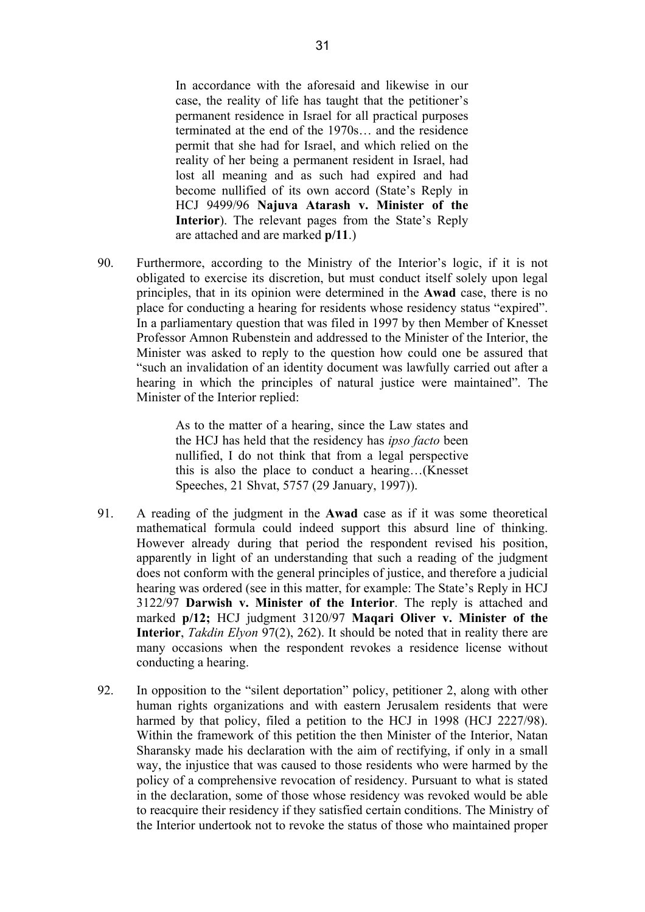In accordance with the aforesaid and likewise in our case, the reality of life has taught that the petitioner's permanent residence in Israel for all practical purposes terminated at the end of the 1970s… and the residence permit that she had for Israel, and which relied on the reality of her being a permanent resident in Israel, had lost all meaning and as such had expired and had become nullified of its own accord (State's Reply in HCJ 9499/96 **Najuva Atarash v. Minister of the Interior**). The relevant pages from the State's Reply are attached and are marked **p/11**.)

90. Furthermore, according to the Ministry of the Interior's logic, if it is not obligated to exercise its discretion, but must conduct itself solely upon legal principles, that in its opinion were determined in the **Awad** case, there is no place for conducting a hearing for residents whose residency status "expired". In a parliamentary question that was filed in 1997 by then Member of Knesset Professor Amnon Rubenstein and addressed to the Minister of the Interior, the Minister was asked to reply to the question how could one be assured that "such an invalidation of an identity document was lawfully carried out after a hearing in which the principles of natural justice were maintained". The Minister of the Interior replied:

> As to the matter of a hearing, since the Law states and the HCJ has held that the residency has *ipso facto* been nullified, I do not think that from a legal perspective this is also the place to conduct a hearing…(Knesset Speeches, 21 Shvat, 5757 (29 January, 1997)).

- 91. A reading of the judgment in the **Awad** case as if it was some theoretical mathematical formula could indeed support this absurd line of thinking. However already during that period the respondent revised his position, apparently in light of an understanding that such a reading of the judgment does not conform with the general principles of justice, and therefore a judicial hearing was ordered (see in this matter, for example: The State's Reply in HCJ 3122/97 **Darwish v. Minister of the Interior**. The reply is attached and marked **p/12;** HCJ judgment 3120/97 **Maqari Oliver v. Minister of the Interior**, *Takdin Elyon* 97(2), 262). It should be noted that in reality there are many occasions when the respondent revokes a residence license without conducting a hearing.
- 92. In opposition to the "silent deportation" policy, petitioner 2, along with other human rights organizations and with eastern Jerusalem residents that were harmed by that policy, filed a petition to the HCJ in 1998 (HCJ 2227/98). Within the framework of this petition the then Minister of the Interior, Natan Sharansky made his declaration with the aim of rectifying, if only in a small way, the injustice that was caused to those residents who were harmed by the policy of a comprehensive revocation of residency. Pursuant to what is stated in the declaration, some of those whose residency was revoked would be able to reacquire their residency if they satisfied certain conditions. The Ministry of the Interior undertook not to revoke the status of those who maintained proper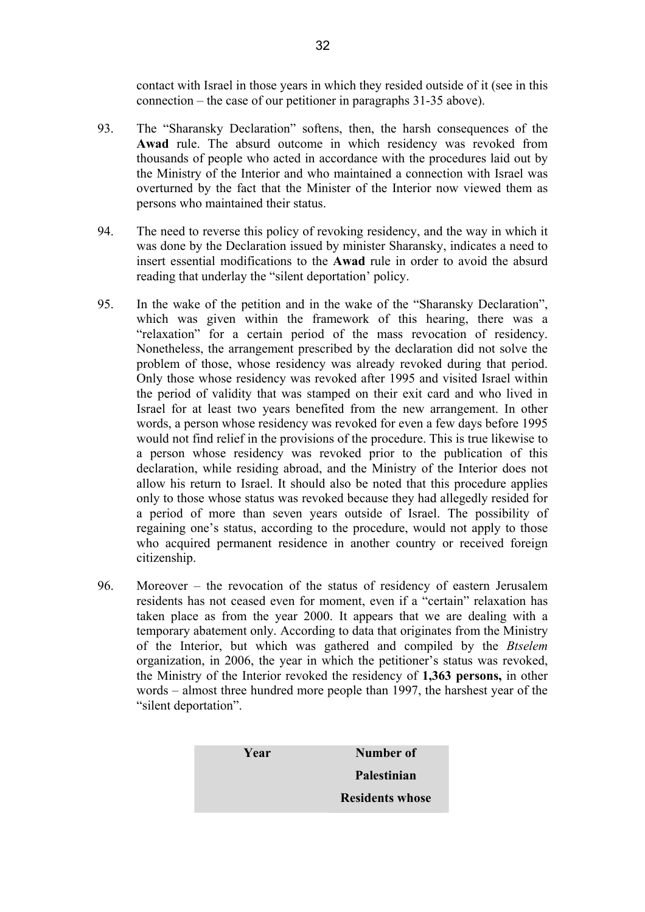contact with Israel in those years in which they resided outside of it (see in this connection – the case of our petitioner in paragraphs 31-35 above).

- 93. The "Sharansky Declaration" softens, then, the harsh consequences of the **Awad** rule. The absurd outcome in which residency was revoked from thousands of people who acted in accordance with the procedures laid out by the Ministry of the Interior and who maintained a connection with Israel was overturned by the fact that the Minister of the Interior now viewed them as persons who maintained their status.
- 94. The need to reverse this policy of revoking residency, and the way in which it was done by the Declaration issued by minister Sharansky, indicates a need to insert essential modifications to the **Awad** rule in order to avoid the absurd reading that underlay the "silent deportation' policy.
- 95. In the wake of the petition and in the wake of the "Sharansky Declaration", which was given within the framework of this hearing, there was a "relaxation" for a certain period of the mass revocation of residency. Nonetheless, the arrangement prescribed by the declaration did not solve the problem of those, whose residency was already revoked during that period. Only those whose residency was revoked after 1995 and visited Israel within the period of validity that was stamped on their exit card and who lived in Israel for at least two years benefited from the new arrangement. In other words, a person whose residency was revoked for even a few days before 1995 would not find relief in the provisions of the procedure. This is true likewise to a person whose residency was revoked prior to the publication of this declaration, while residing abroad, and the Ministry of the Interior does not allow his return to Israel. It should also be noted that this procedure applies only to those whose status was revoked because they had allegedly resided for a period of more than seven years outside of Israel. The possibility of regaining one's status, according to the procedure, would not apply to those who acquired permanent residence in another country or received foreign citizenship.
- 96. Moreover the revocation of the status of residency of eastern Jerusalem residents has not ceased even for moment, even if a "certain" relaxation has taken place as from the year 2000. It appears that we are dealing with a temporary abatement only. According to data that originates from the Ministry of the Interior, but which was gathered and compiled by the *Btselem* organization, in 2006, the year in which the petitioner's status was revoked, the Ministry of the Interior revoked the residency of **1,363 persons,** in other words – almost three hundred more people than 1997, the harshest year of the "silent deportation".

| Year | Number of              |
|------|------------------------|
|      | Palestinian            |
|      | <b>Residents whose</b> |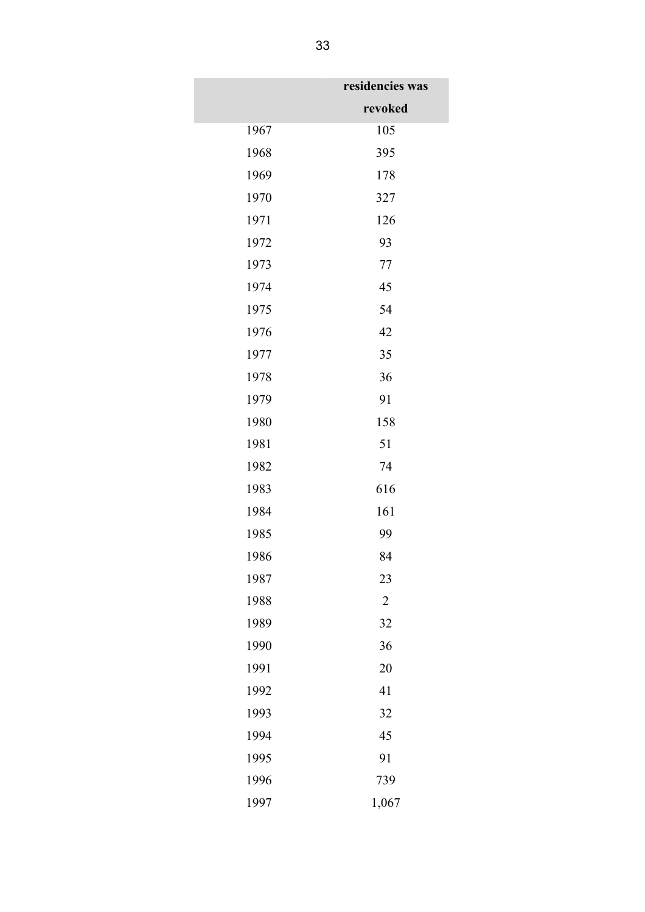|      | residencies was |
|------|-----------------|
|      | revoked         |
| 1967 | 105             |
| 1968 | 395             |
| 1969 | 178             |
| 1970 | 327             |
| 1971 | 126             |
| 1972 | 93              |
| 1973 | 77              |
| 1974 | 45              |
| 1975 | 54              |
| 1976 | 42              |
| 1977 | 35              |
| 1978 | 36              |
| 1979 | 91              |
| 1980 | 158             |
| 1981 | 51              |
| 1982 | 74              |
| 1983 | 616             |
| 1984 | 161             |
| 1985 | 99              |
| 1986 | 84              |
| 1987 | 23              |
| 1988 | $\overline{2}$  |
| 1989 | 32              |
| 1990 | 36              |
| 1991 | 20              |
| 1992 | 41              |
| 1993 | 32              |
| 1994 | 45              |
| 1995 | 91              |
| 1996 | 739             |
| 1997 | 1,067           |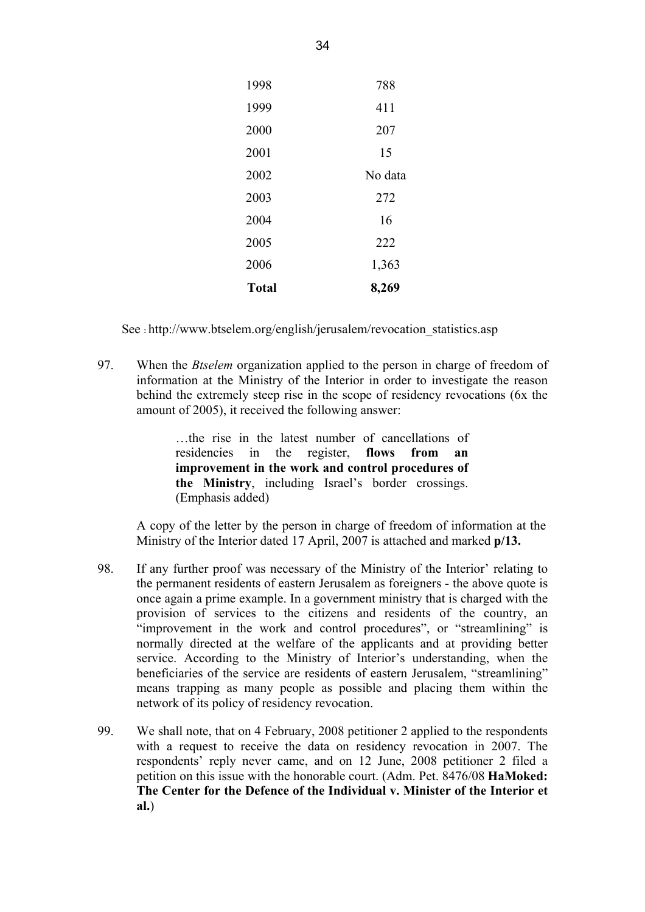| 1998         | 788     |
|--------------|---------|
| 1999         | 411     |
| 2000         | 207     |
| 2001         | 15      |
| 2002         | No data |
| 2003         | 272     |
| 2004         | 16      |
| 2005         | 222     |
| 2006         | 1,363   |
| <b>Total</b> | 8,269   |
|              |         |

See :http://www.btselem.org/english/jerusalem/revocation\_statistics.asp

97. When the *Btselem* organization applied to the person in charge of freedom of information at the Ministry of the Interior in order to investigate the reason behind the extremely steep rise in the scope of residency revocations (6x the amount of 2005), it received the following answer:

> …the rise in the latest number of cancellations of residencies in the register, **flows from an improvement in the work and control procedures of the Ministry**, including Israel's border crossings. (Emphasis added)

A copy of the letter by the person in charge of freedom of information at the Ministry of the Interior dated 17 April, 2007 is attached and marked **p/13.** 

- 98. If any further proof was necessary of the Ministry of the Interior' relating to the permanent residents of eastern Jerusalem as foreigners - the above quote is once again a prime example. In a government ministry that is charged with the provision of services to the citizens and residents of the country, an "improvement in the work and control procedures", or "streamlining" is normally directed at the welfare of the applicants and at providing better service. According to the Ministry of Interior's understanding, when the beneficiaries of the service are residents of eastern Jerusalem, "streamlining" means trapping as many people as possible and placing them within the network of its policy of residency revocation.
- 99. We shall note, that on 4 February, 2008 petitioner 2 applied to the respondents with a request to receive the data on residency revocation in 2007. The respondents' reply never came, and on 12 June, 2008 petitioner 2 filed a petition on this issue with the honorable court. (Adm. Pet. 8476/08 **HaMoked: The Center for the Defence of the Individual v. Minister of the Interior et al.**)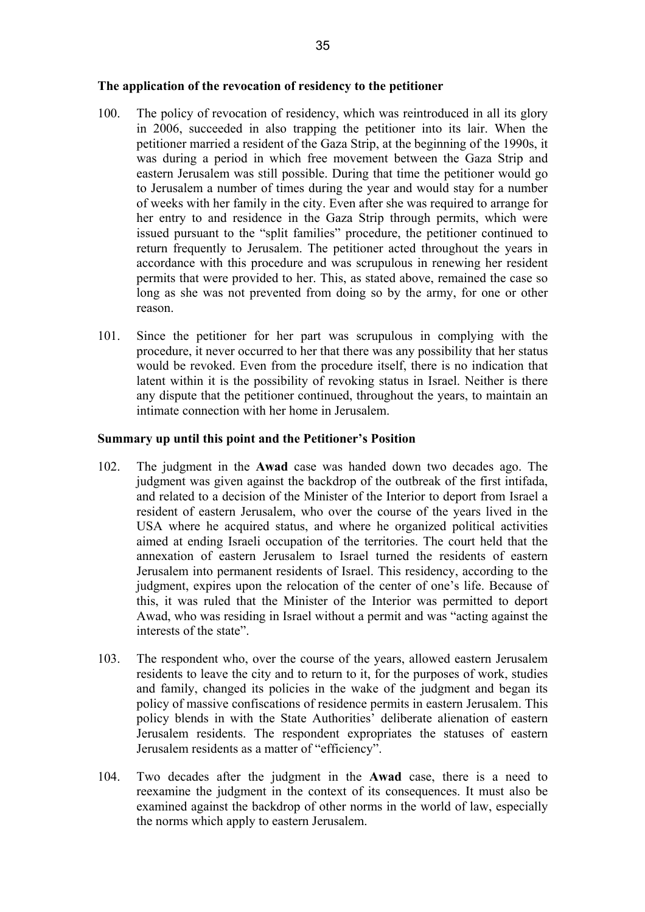- 100. The policy of revocation of residency, which was reintroduced in all its glory in 2006, succeeded in also trapping the petitioner into its lair. When the petitioner married a resident of the Gaza Strip, at the beginning of the 1990s, it was during a period in which free movement between the Gaza Strip and eastern Jerusalem was still possible. During that time the petitioner would go to Jerusalem a number of times during the year and would stay for a number of weeks with her family in the city. Even after she was required to arrange for her entry to and residence in the Gaza Strip through permits, which were issued pursuant to the "split families" procedure, the petitioner continued to return frequently to Jerusalem. The petitioner acted throughout the years in accordance with this procedure and was scrupulous in renewing her resident permits that were provided to her. This, as stated above, remained the case so long as she was not prevented from doing so by the army, for one or other reason.
- 101. Since the petitioner for her part was scrupulous in complying with the procedure, it never occurred to her that there was any possibility that her status would be revoked. Even from the procedure itself, there is no indication that latent within it is the possibility of revoking status in Israel. Neither is there any dispute that the petitioner continued, throughout the years, to maintain an intimate connection with her home in Jerusalem.

## **Summary up until this point and the Petitioner's Position**

- 102. The judgment in the **Awad** case was handed down two decades ago. The judgment was given against the backdrop of the outbreak of the first intifada, and related to a decision of the Minister of the Interior to deport from Israel a resident of eastern Jerusalem, who over the course of the years lived in the USA where he acquired status, and where he organized political activities aimed at ending Israeli occupation of the territories. The court held that the annexation of eastern Jerusalem to Israel turned the residents of eastern Jerusalem into permanent residents of Israel. This residency, according to the judgment, expires upon the relocation of the center of one's life. Because of this, it was ruled that the Minister of the Interior was permitted to deport Awad, who was residing in Israel without a permit and was "acting against the interests of the state".
- 103. The respondent who, over the course of the years, allowed eastern Jerusalem residents to leave the city and to return to it, for the purposes of work, studies and family, changed its policies in the wake of the judgment and began its policy of massive confiscations of residence permits in eastern Jerusalem. This policy blends in with the State Authorities' deliberate alienation of eastern Jerusalem residents. The respondent expropriates the statuses of eastern Jerusalem residents as a matter of "efficiency".
- 104. Two decades after the judgment in the **Awad** case, there is a need to reexamine the judgment in the context of its consequences. It must also be examined against the backdrop of other norms in the world of law, especially the norms which apply to eastern Jerusalem.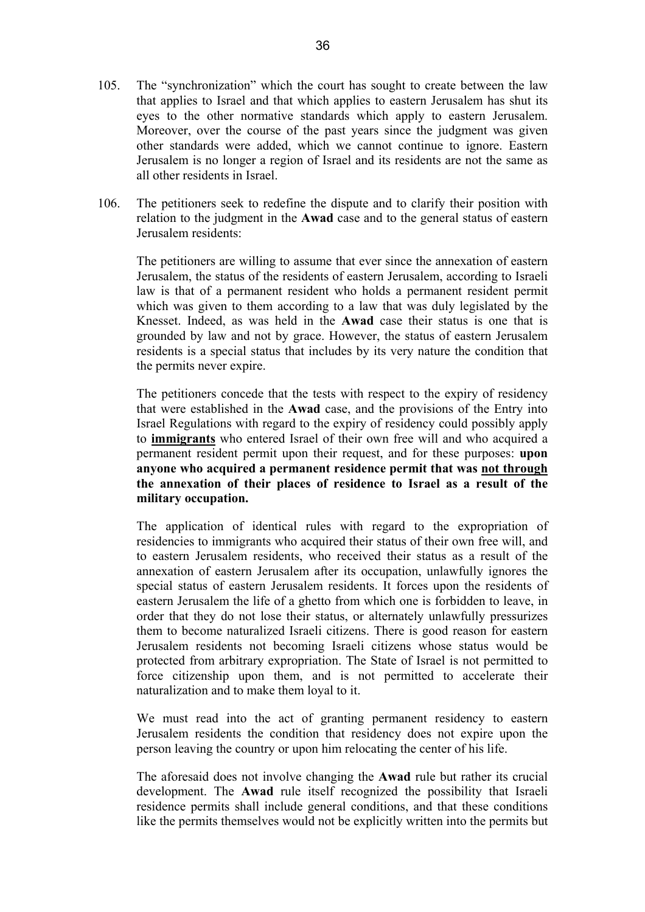- 105. The "synchronization" which the court has sought to create between the law that applies to Israel and that which applies to eastern Jerusalem has shut its eyes to the other normative standards which apply to eastern Jerusalem. Moreover, over the course of the past years since the judgment was given other standards were added, which we cannot continue to ignore. Eastern Jerusalem is no longer a region of Israel and its residents are not the same as all other residents in Israel.
- 106. The petitioners seek to redefine the dispute and to clarify their position with relation to the judgment in the **Awad** case and to the general status of eastern Jerusalem residents:

The petitioners are willing to assume that ever since the annexation of eastern Jerusalem, the status of the residents of eastern Jerusalem, according to Israeli law is that of a permanent resident who holds a permanent resident permit which was given to them according to a law that was duly legislated by the Knesset. Indeed, as was held in the **Awad** case their status is one that is grounded by law and not by grace. However, the status of eastern Jerusalem residents is a special status that includes by its very nature the condition that the permits never expire.

The petitioners concede that the tests with respect to the expiry of residency that were established in the **Awad** case, and the provisions of the Entry into Israel Regulations with regard to the expiry of residency could possibly apply to **immigrants** who entered Israel of their own free will and who acquired a permanent resident permit upon their request, and for these purposes: **upon anyone who acquired a permanent residence permit that was not through the annexation of their places of residence to Israel as a result of the military occupation.** 

The application of identical rules with regard to the expropriation of residencies to immigrants who acquired their status of their own free will, and to eastern Jerusalem residents, who received their status as a result of the annexation of eastern Jerusalem after its occupation, unlawfully ignores the special status of eastern Jerusalem residents. It forces upon the residents of eastern Jerusalem the life of a ghetto from which one is forbidden to leave, in order that they do not lose their status, or alternately unlawfully pressurizes them to become naturalized Israeli citizens. There is good reason for eastern Jerusalem residents not becoming Israeli citizens whose status would be protected from arbitrary expropriation. The State of Israel is not permitted to force citizenship upon them, and is not permitted to accelerate their naturalization and to make them loyal to it.

We must read into the act of granting permanent residency to eastern Jerusalem residents the condition that residency does not expire upon the person leaving the country or upon him relocating the center of his life.

The aforesaid does not involve changing the **Awad** rule but rather its crucial development. The **Awad** rule itself recognized the possibility that Israeli residence permits shall include general conditions, and that these conditions like the permits themselves would not be explicitly written into the permits but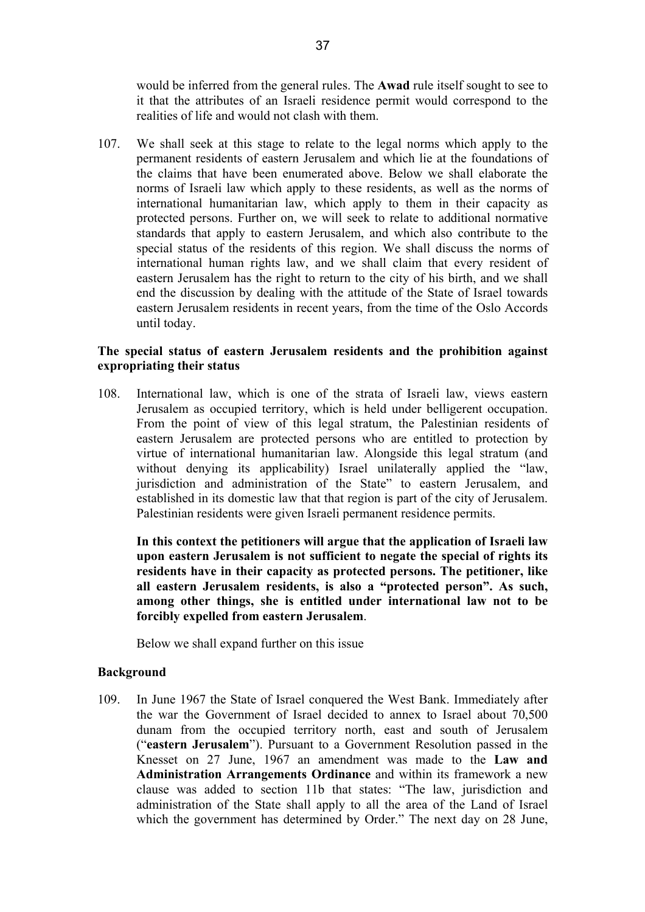would be inferred from the general rules. The **Awad** rule itself sought to see to it that the attributes of an Israeli residence permit would correspond to the realities of life and would not clash with them.

107. We shall seek at this stage to relate to the legal norms which apply to the permanent residents of eastern Jerusalem and which lie at the foundations of the claims that have been enumerated above. Below we shall elaborate the norms of Israeli law which apply to these residents, as well as the norms of international humanitarian law, which apply to them in their capacity as protected persons. Further on, we will seek to relate to additional normative standards that apply to eastern Jerusalem, and which also contribute to the special status of the residents of this region. We shall discuss the norms of international human rights law, and we shall claim that every resident of eastern Jerusalem has the right to return to the city of his birth, and we shall end the discussion by dealing with the attitude of the State of Israel towards eastern Jerusalem residents in recent years, from the time of the Oslo Accords until today.

# **The special status of eastern Jerusalem residents and the prohibition against expropriating their status**

108. International law, which is one of the strata of Israeli law, views eastern Jerusalem as occupied territory, which is held under belligerent occupation. From the point of view of this legal stratum, the Palestinian residents of eastern Jerusalem are protected persons who are entitled to protection by virtue of international humanitarian law. Alongside this legal stratum (and without denying its applicability) Israel unilaterally applied the "law, jurisdiction and administration of the State" to eastern Jerusalem, and established in its domestic law that that region is part of the city of Jerusalem. Palestinian residents were given Israeli permanent residence permits.

**In this context the petitioners will argue that the application of Israeli law upon eastern Jerusalem is not sufficient to negate the special of rights its residents have in their capacity as protected persons. The petitioner, like all eastern Jerusalem residents, is also a "protected person". As such, among other things, she is entitled under international law not to be forcibly expelled from eastern Jerusalem**.

Below we shall expand further on this issue

## **Background**

109. In June 1967 the State of Israel conquered the West Bank. Immediately after the war the Government of Israel decided to annex to Israel about 70,500 dunam from the occupied territory north, east and south of Jerusalem ("**eastern Jerusalem**"). Pursuant to a Government Resolution passed in the Knesset on 27 June, 1967 an amendment was made to the **Law and Administration Arrangements Ordinance** and within its framework a new clause was added to section 11b that states: "The law, jurisdiction and administration of the State shall apply to all the area of the Land of Israel which the government has determined by Order." The next day on 28 June,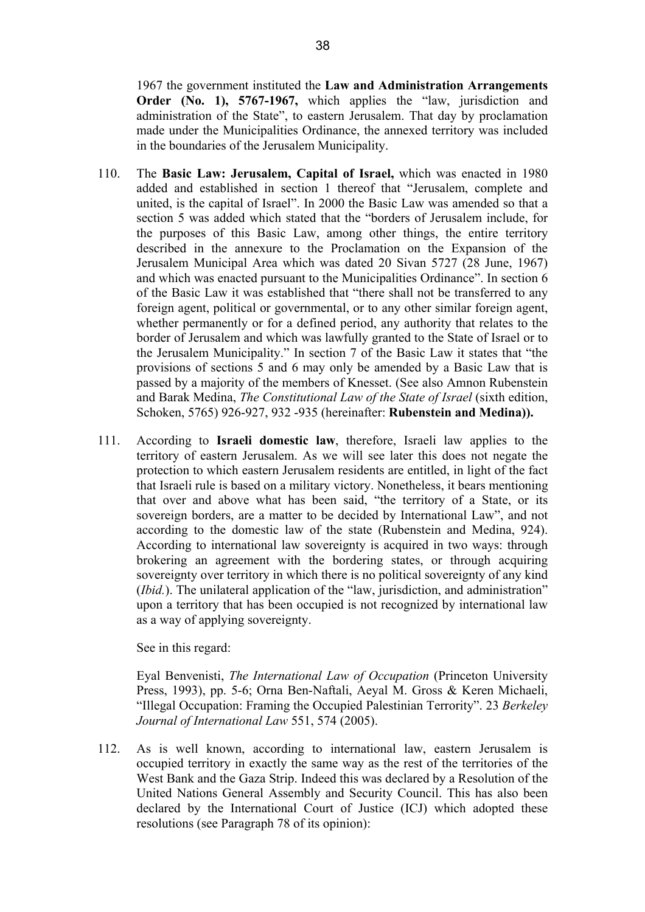1967 the government instituted the **Law and Administration Arrangements Order (No. 1), 5767-1967,** which applies the "law, jurisdiction and administration of the State", to eastern Jerusalem. That day by proclamation made under the Municipalities Ordinance, the annexed territory was included in the boundaries of the Jerusalem Municipality.

- 110. The **Basic Law: Jerusalem, Capital of Israel,** which was enacted in 1980 added and established in section 1 thereof that "Jerusalem, complete and united, is the capital of Israel". In 2000 the Basic Law was amended so that a section 5 was added which stated that the "borders of Jerusalem include, for the purposes of this Basic Law, among other things, the entire territory described in the annexure to the Proclamation on the Expansion of the Jerusalem Municipal Area which was dated 20 Sivan 5727 (28 June, 1967) and which was enacted pursuant to the Municipalities Ordinance". In section 6 of the Basic Law it was established that "there shall not be transferred to any foreign agent, political or governmental, or to any other similar foreign agent, whether permanently or for a defined period, any authority that relates to the border of Jerusalem and which was lawfully granted to the State of Israel or to the Jerusalem Municipality." In section 7 of the Basic Law it states that "the provisions of sections 5 and 6 may only be amended by a Basic Law that is passed by a majority of the members of Knesset. (See also Amnon Rubenstein and Barak Medina, *The Constitutional Law of the State of Israel* (sixth edition, Schoken, 5765) 926-927, 932 -935 (hereinafter: **Rubenstein and Medina)).**
- 111. According to **Israeli domestic law**, therefore, Israeli law applies to the territory of eastern Jerusalem. As we will see later this does not negate the protection to which eastern Jerusalem residents are entitled, in light of the fact that Israeli rule is based on a military victory. Nonetheless, it bears mentioning that over and above what has been said, "the territory of a State, or its sovereign borders, are a matter to be decided by International Law", and not according to the domestic law of the state (Rubenstein and Medina, 924). According to international law sovereignty is acquired in two ways: through brokering an agreement with the bordering states, or through acquiring sovereignty over territory in which there is no political sovereignty of any kind (*Ibid.*). The unilateral application of the "law, jurisdiction, and administration" upon a territory that has been occupied is not recognized by international law as a way of applying sovereignty.

See in this regard:

Eyal Benvenisti, *The International Law of Occupation* (Princeton University Press, 1993), pp. 5-6; Orna Ben-Naftali, Aeyal M. Gross & Keren Michaeli, "Illegal Occupation: Framing the Occupied Palestinian Terrority". 23 *Berkeley Journal of International Law* 551, 574 (2005).

112. As is well known, according to international law, eastern Jerusalem is occupied territory in exactly the same way as the rest of the territories of the West Bank and the Gaza Strip. Indeed this was declared by a Resolution of the United Nations General Assembly and Security Council. This has also been declared by the International Court of Justice (ICJ) which adopted these resolutions (see Paragraph 78 of its opinion):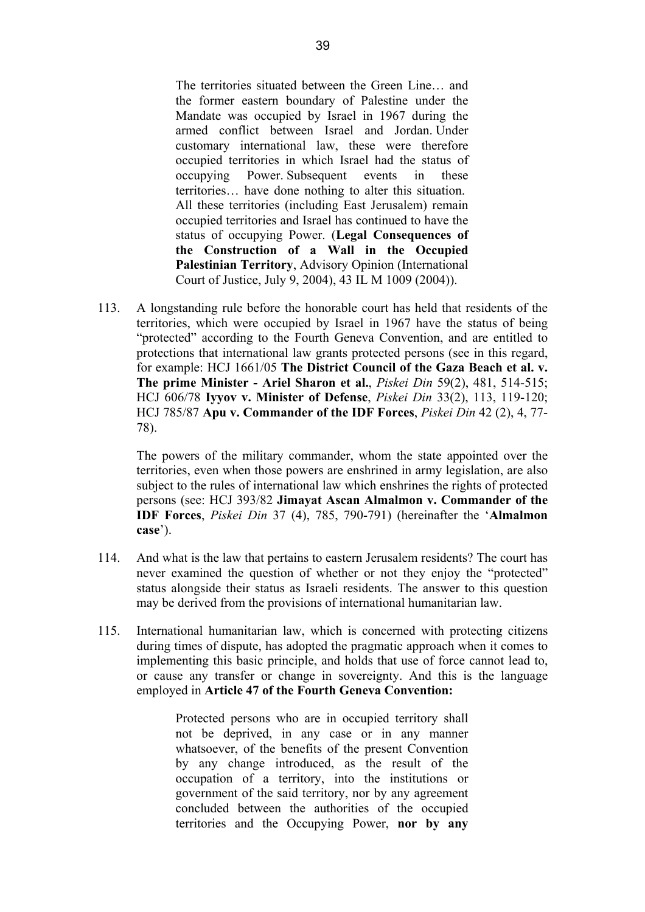The territories situated between the Green Line… and the former eastern boundary of Palestine under the Mandate was occupied by Israel in 1967 during the armed conflict between Israel and Jordan. Under customary international law, these were therefore occupied territories in which Israel had the status of occupying Power. Subsequent events in these territories… have done nothing to alter this situation. All these territories (including East Jerusalem) remain occupied territories and Israel has continued to have the status of occupying Power. (**Legal Consequences of the Construction of a Wall in the Occupied Palestinian Territory**, Advisory Opinion (International Court of Justice, July 9, 2004), 43 IL M 1009 (2004)).

113. A longstanding rule before the honorable court has held that residents of the territories, which were occupied by Israel in 1967 have the status of being "protected" according to the Fourth Geneva Convention, and are entitled to protections that international law grants protected persons (see in this regard, for example: HCJ 1661/05 **The District Council of the Gaza Beach et al. v. The prime Minister - Ariel Sharon et al.**, *Piskei Din* 59(2), 481, 514-515; HCJ 606/78 **Iyyov v. Minister of Defense**, *Piskei Din* 33(2), 113, 119-120; HCJ 785/87 **Apu v. Commander of the IDF Forces**, *Piskei Din* 42 (2), 4, 77- 78).

The powers of the military commander, whom the state appointed over the territories, even when those powers are enshrined in army legislation, are also subject to the rules of international law which enshrines the rights of protected persons (see: HCJ 393/82 **Jimayat Ascan Almalmon v. Commander of the IDF Forces**, *Piskei Din* 37 (4), 785, 790-791) (hereinafter the '**Almalmon case**').

- 114. And what is the law that pertains to eastern Jerusalem residents? The court has never examined the question of whether or not they enjoy the "protected" status alongside their status as Israeli residents. The answer to this question may be derived from the provisions of international humanitarian law.
- 115. International humanitarian law, which is concerned with protecting citizens during times of dispute, has adopted the pragmatic approach when it comes to implementing this basic principle, and holds that use of force cannot lead to, or cause any transfer or change in sovereignty. And this is the language employed in **Article 47 of the Fourth Geneva Convention:**

Protected persons who are in occupied territory shall not be deprived, in any case or in any manner whatsoever, of the benefits of the present Convention by any change introduced, as the result of the occupation of a territory, into the institutions or government of the said territory, nor by any agreement concluded between the authorities of the occupied territories and the Occupying Power, **nor by any**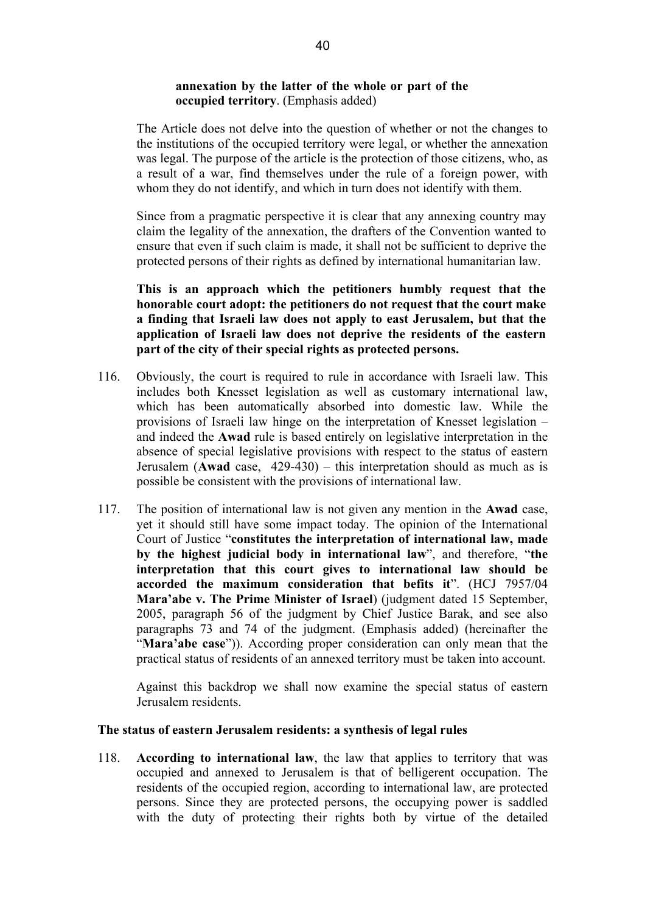## **annexation by the latter of the whole or part of the occupied territory**. (Emphasis added)

The Article does not delve into the question of whether or not the changes to the institutions of the occupied territory were legal, or whether the annexation was legal. The purpose of the article is the protection of those citizens, who, as a result of a war, find themselves under the rule of a foreign power, with whom they do not identify, and which in turn does not identify with them.

Since from a pragmatic perspective it is clear that any annexing country may claim the legality of the annexation, the drafters of the Convention wanted to ensure that even if such claim is made, it shall not be sufficient to deprive the protected persons of their rights as defined by international humanitarian law.

**This is an approach which the petitioners humbly request that the honorable court adopt: the petitioners do not request that the court make a finding that Israeli law does not apply to east Jerusalem, but that the application of Israeli law does not deprive the residents of the eastern part of the city of their special rights as protected persons.** 

- 116. Obviously, the court is required to rule in accordance with Israeli law. This includes both Knesset legislation as well as customary international law, which has been automatically absorbed into domestic law. While the provisions of Israeli law hinge on the interpretation of Knesset legislation – and indeed the **Awad** rule is based entirely on legislative interpretation in the absence of special legislative provisions with respect to the status of eastern Jerusalem (**Awad** case, 429-430) – this interpretation should as much as is possible be consistent with the provisions of international law.
- 117. The position of international law is not given any mention in the **Awad** case, yet it should still have some impact today. The opinion of the International Court of Justice "**constitutes the interpretation of international law, made by the highest judicial body in international law**", and therefore, "**the interpretation that this court gives to international law should be accorded the maximum consideration that befits it**". (HCJ 7957/04 **Mara'abe v. The Prime Minister of Israel**) (judgment dated 15 September, 2005, paragraph 56 of the judgment by Chief Justice Barak, and see also paragraphs 73 and 74 of the judgment. (Emphasis added) (hereinafter the "**Mara'abe case**")). According proper consideration can only mean that the practical status of residents of an annexed territory must be taken into account.

Against this backdrop we shall now examine the special status of eastern Jerusalem residents.

#### **The status of eastern Jerusalem residents: a synthesis of legal rules**

118. **According to international law**, the law that applies to territory that was occupied and annexed to Jerusalem is that of belligerent occupation. The residents of the occupied region, according to international law, are protected persons. Since they are protected persons, the occupying power is saddled with the duty of protecting their rights both by virtue of the detailed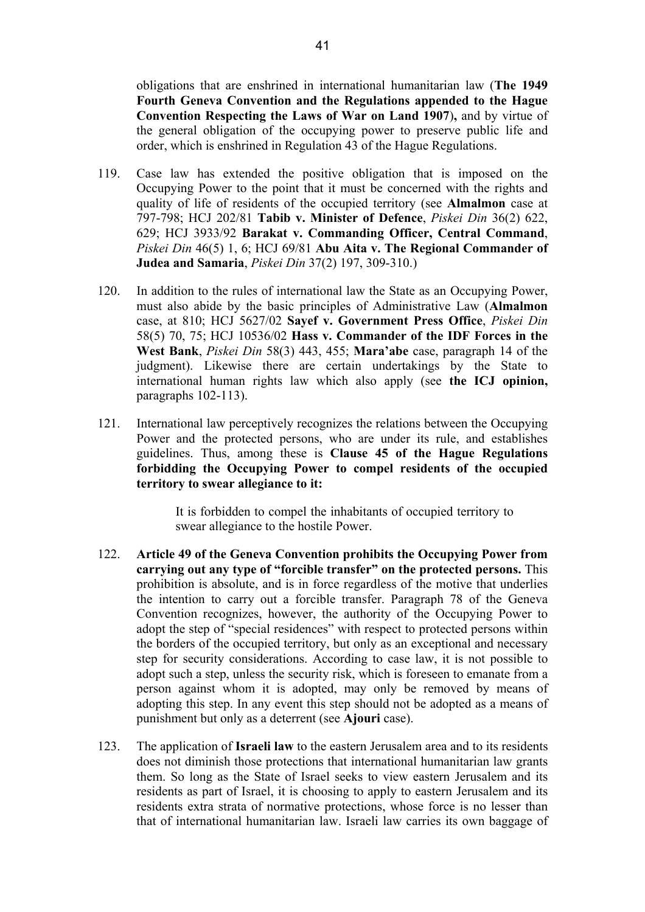obligations that are enshrined in international humanitarian law (**The 1949 Fourth Geneva Convention and the Regulations appended to the Hague Convention Respecting the Laws of War on Land 1907**)**,** and by virtue of the general obligation of the occupying power to preserve public life and order, which is enshrined in Regulation 43 of the Hague Regulations.

- 119. Case law has extended the positive obligation that is imposed on the Occupying Power to the point that it must be concerned with the rights and quality of life of residents of the occupied territory (see **Almalmon** case at 797-798; HCJ 202/81 **Tabib v. Minister of Defence**, *Piskei Din* 36(2) 622, 629; HCJ 3933/92 **Barakat v. Commanding Officer, Central Command**, *Piskei Din* 46(5) 1, 6; HCJ 69/81 **Abu Aita v. The Regional Commander of Judea and Samaria**, *Piskei Din* 37(2) 197, 309-310.)
- 120. In addition to the rules of international law the State as an Occupying Power, must also abide by the basic principles of Administrative Law (**Almalmon** case, at 810; HCJ 5627/02 **Sayef v. Government Press Office**, *Piskei Din*  58(5) 70, 75; HCJ 10536/02 **Hass v. Commander of the IDF Forces in the West Bank**, *Piskei Din* 58(3) 443, 455; **Mara'abe** case, paragraph 14 of the judgment). Likewise there are certain undertakings by the State to international human rights law which also apply (see **the ICJ opinion,**  paragraphs 102-113).
- 121. International law perceptively recognizes the relations between the Occupying Power and the protected persons, who are under its rule, and establishes guidelines. Thus, among these is **Clause 45 of the Hague Regulations forbidding the Occupying Power to compel residents of the occupied territory to swear allegiance to it:**

It is forbidden to compel the inhabitants of occupied territory to swear allegiance to the hostile Power.

- 122. **Article 49 of the Geneva Convention prohibits the Occupying Power from carrying out any type of "forcible transfer" on the protected persons.** This prohibition is absolute, and is in force regardless of the motive that underlies the intention to carry out a forcible transfer. Paragraph 78 of the Geneva Convention recognizes, however, the authority of the Occupying Power to adopt the step of "special residences" with respect to protected persons within the borders of the occupied territory, but only as an exceptional and necessary step for security considerations. According to case law, it is not possible to adopt such a step, unless the security risk, which is foreseen to emanate from a person against whom it is adopted, may only be removed by means of adopting this step. In any event this step should not be adopted as a means of punishment but only as a deterrent (see **Ajouri** case).
- 123. The application of **Israeli law** to the eastern Jerusalem area and to its residents does not diminish those protections that international humanitarian law grants them. So long as the State of Israel seeks to view eastern Jerusalem and its residents as part of Israel, it is choosing to apply to eastern Jerusalem and its residents extra strata of normative protections, whose force is no lesser than that of international humanitarian law. Israeli law carries its own baggage of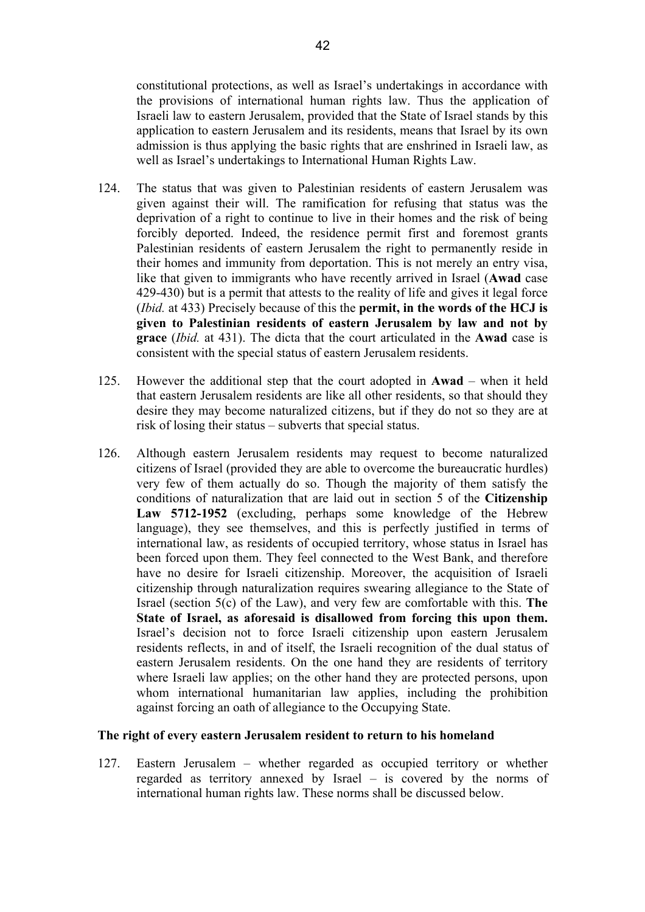constitutional protections, as well as Israel's undertakings in accordance with the provisions of international human rights law. Thus the application of Israeli law to eastern Jerusalem, provided that the State of Israel stands by this application to eastern Jerusalem and its residents, means that Israel by its own admission is thus applying the basic rights that are enshrined in Israeli law, as well as Israel's undertakings to International Human Rights Law.

- 124. The status that was given to Palestinian residents of eastern Jerusalem was given against their will. The ramification for refusing that status was the deprivation of a right to continue to live in their homes and the risk of being forcibly deported. Indeed, the residence permit first and foremost grants Palestinian residents of eastern Jerusalem the right to permanently reside in their homes and immunity from deportation. This is not merely an entry visa, like that given to immigrants who have recently arrived in Israel (**Awad** case 429-430) but is a permit that attests to the reality of life and gives it legal force (*Ibid.* at 433) Precisely because of this the **permit, in the words of the HCJ is given to Palestinian residents of eastern Jerusalem by law and not by grace** (*Ibid.* at 431). The dicta that the court articulated in the **Awad** case is consistent with the special status of eastern Jerusalem residents.
- 125. However the additional step that the court adopted in **Awad** when it held that eastern Jerusalem residents are like all other residents, so that should they desire they may become naturalized citizens, but if they do not so they are at risk of losing their status – subverts that special status.
- 126. Although eastern Jerusalem residents may request to become naturalized citizens of Israel (provided they are able to overcome the bureaucratic hurdles) very few of them actually do so. Though the majority of them satisfy the conditions of naturalization that are laid out in section 5 of the **Citizenship Law 5712-1952** (excluding, perhaps some knowledge of the Hebrew language), they see themselves, and this is perfectly justified in terms of international law, as residents of occupied territory, whose status in Israel has been forced upon them. They feel connected to the West Bank, and therefore have no desire for Israeli citizenship. Moreover, the acquisition of Israeli citizenship through naturalization requires swearing allegiance to the State of Israel (section 5(c) of the Law), and very few are comfortable with this. **The State of Israel, as aforesaid is disallowed from forcing this upon them.**  Israel's decision not to force Israeli citizenship upon eastern Jerusalem residents reflects, in and of itself, the Israeli recognition of the dual status of eastern Jerusalem residents. On the one hand they are residents of territory where Israeli law applies; on the other hand they are protected persons, upon whom international humanitarian law applies, including the prohibition against forcing an oath of allegiance to the Occupying State.

#### **The right of every eastern Jerusalem resident to return to his homeland**

127. Eastern Jerusalem – whether regarded as occupied territory or whether regarded as territory annexed by Israel – is covered by the norms of international human rights law. These norms shall be discussed below.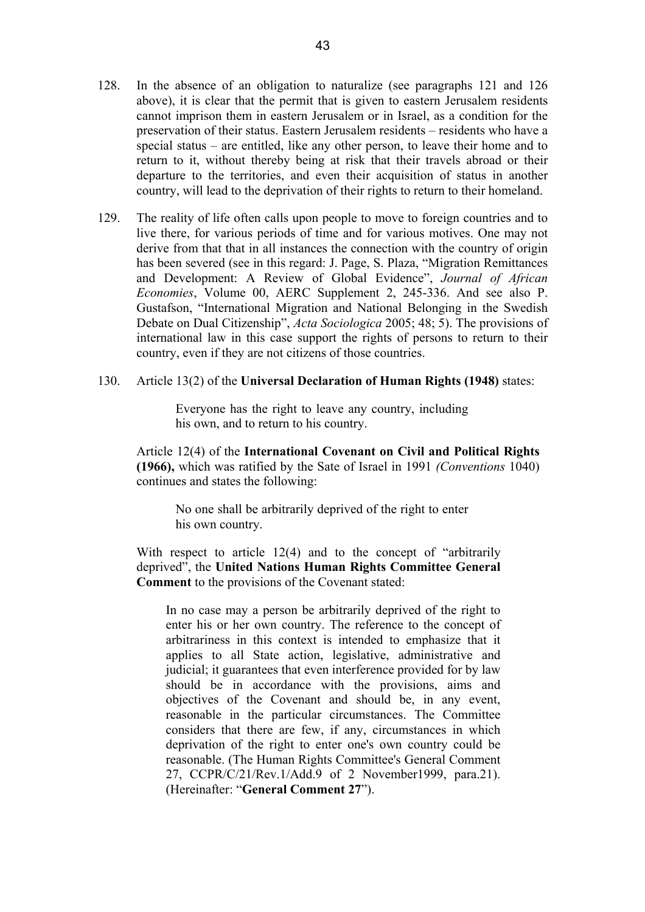- 128. In the absence of an obligation to naturalize (see paragraphs 121 and 126 above), it is clear that the permit that is given to eastern Jerusalem residents cannot imprison them in eastern Jerusalem or in Israel, as a condition for the preservation of their status. Eastern Jerusalem residents – residents who have a special status – are entitled, like any other person, to leave their home and to return to it, without thereby being at risk that their travels abroad or their departure to the territories, and even their acquisition of status in another country, will lead to the deprivation of their rights to return to their homeland.
- 129. The reality of life often calls upon people to move to foreign countries and to live there, for various periods of time and for various motives. One may not derive from that that in all instances the connection with the country of origin has been severed (see in this regard: J. Page, S. Plaza, "Migration Remittances and Development: A Review of Global Evidence", *Journal of African Economies*, Volume 00, AERC Supplement 2, 245-336. And see also P. Gustafson, "International Migration and National Belonging in the Swedish Debate on Dual Citizenship", *Acta Sociologica* 2005; 48; 5). The provisions of international law in this case support the rights of persons to return to their country, even if they are not citizens of those countries.
- 130. Article 13(2) of the **Universal Declaration of Human Rights (1948)** states:

Everyone has the right to leave any country, including his own, and to return to his country.

Article 12(4) of the **International Covenant on Civil and Political Rights (1966),** which was ratified by the Sate of Israel in 1991 *(Conventions* 1040) continues and states the following:

No one shall be arbitrarily deprived of the right to enter his own country.

With respect to article 12(4) and to the concept of "arbitrarily deprived", the **United Nations Human Rights Committee General Comment** to the provisions of the Covenant stated:

In no case may a person be arbitrarily deprived of the right to enter his or her own country. The reference to the concept of arbitrariness in this context is intended to emphasize that it applies to all State action, legislative, administrative and judicial; it guarantees that even interference provided for by law should be in accordance with the provisions, aims and objectives of the Covenant and should be, in any event, reasonable in the particular circumstances. The Committee considers that there are few, if any, circumstances in which deprivation of the right to enter one's own country could be reasonable. (The Human Rights Committee's General Comment 27, CCPR/C/21/Rev.1/Add.9 of 2 November1999, para.21). (Hereinafter: "**General Comment 27**").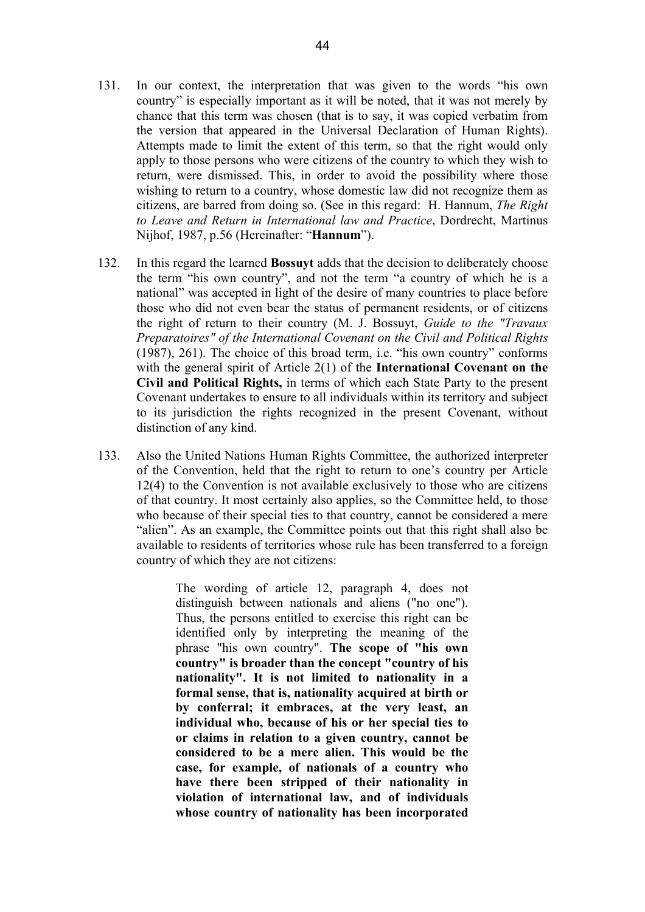- 131. In our context, the interpretation that was given to the words "his own country" is especially important as it will be noted, that it was not merely by chance that this term was chosen (that is to say, it was copied verbatim from the version that appeared in the Universal Declaration of Human Rights). Attempts made to limit the extent of this term, so that the right would only apply to those persons who were citizens of the country to which they wish to return, were dismissed. This, in order to avoid the possibility where those wishing to return to a country, whose domestic law did not recognize them as citizens, are barred from doing so. (See in this regard: H. Hannum, *The Right to Leave and Return in International law and Practice*, Dordrecht, Martinus Nijhof, 1987, p.56 (Hereinafter: "**Hannum**").
- 132. In this regard the learned **Bossuyt** adds that the decision to deliberately choose the term "his own country", and not the term "a country of which he is a national" was accepted in light of the desire of many countries to place before those who did not even bear the status of permanent residents, or of citizens the right of return to their country (M. J. Bossuyt, *Guide to the "Travaux Preparatoires" of the International Covenant on the Civil and Political Rights* (1987), 261). The choice of this broad term, i.e. "his own country" conforms with the general spirit of Article 2(1) of the **International Covenant on the Civil and Political Rights,** in terms of which each State Party to the present Covenant undertakes to ensure to all individuals within its territory and subject to its jurisdiction the rights recognized in the present Covenant, without distinction of any kind.
- 133. Also the United Nations Human Rights Committee, the authorized interpreter of the Convention, held that the right to return to one's country per Article 12(4) to the Convention is not available exclusively to those who are citizens of that country. It most certainly also applies, so the Committee held, to those who because of their special ties to that country, cannot be considered a mere "alien". As an example, the Committee points out that this right shall also be available to residents of territories whose rule has been transferred to a foreign country of which they are not citizens:

The wording of article 12, paragraph 4, does not distinguish between nationals and aliens ("no one"). Thus, the persons entitled to exercise this right can be identified only by interpreting the meaning of the phrase "his own country". **The scope of "his own country" is broader than the concept "country of his nationality". It is not limited to nationality in a formal sense, that is, nationality acquired at birth or by conferral; it embraces, at the very least, an individual who, because of his or her special ties to or claims in relation to a given country, cannot be considered to be a mere alien. This would be the case, for example, of nationals of a country who have there been stripped of their nationality in violation of international law, and of individuals whose country of nationality has been incorporated**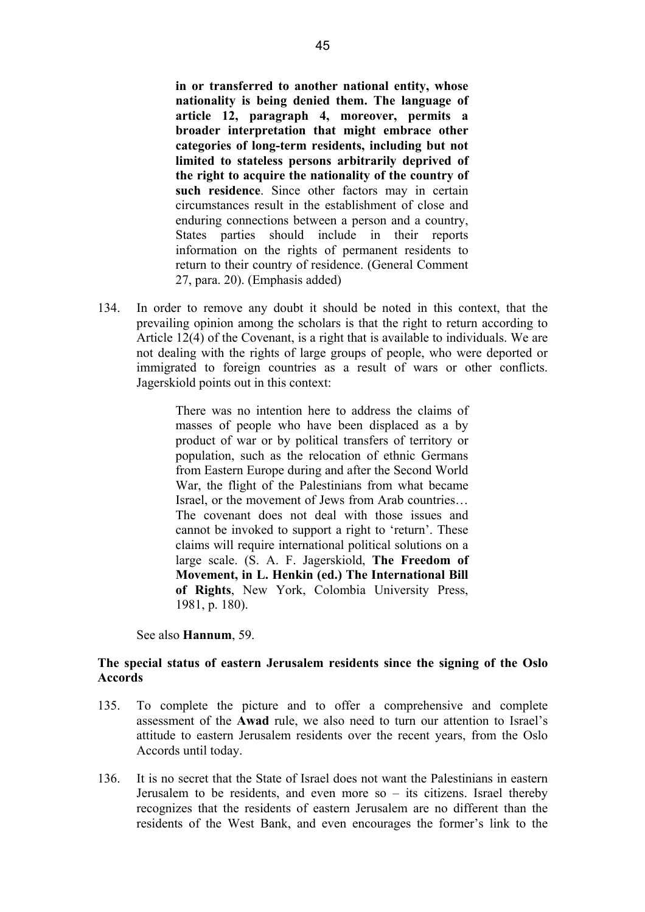**in or transferred to another national entity, whose nationality is being denied them. The language of article 12, paragraph 4, moreover, permits a broader interpretation that might embrace other categories of long-term residents, including but not limited to stateless persons arbitrarily deprived of the right to acquire the nationality of the country of such residence**. Since other factors may in certain circumstances result in the establishment of close and enduring connections between a person and a country, States parties should include in their reports information on the rights of permanent residents to return to their country of residence. (General Comment 27, para. 20). (Emphasis added)

134. In order to remove any doubt it should be noted in this context, that the prevailing opinion among the scholars is that the right to return according to Article 12(4) of the Covenant, is a right that is available to individuals. We are not dealing with the rights of large groups of people, who were deported or immigrated to foreign countries as a result of wars or other conflicts. Jagerskiold points out in this context:

> There was no intention here to address the claims of masses of people who have been displaced as a by product of war or by political transfers of territory or population, such as the relocation of ethnic Germans from Eastern Europe during and after the Second World War, the flight of the Palestinians from what became Israel, or the movement of Jews from Arab countries… The covenant does not deal with those issues and cannot be invoked to support a right to 'return'. These claims will require international political solutions on a large scale. (S. A. F. Jagerskiold, **The Freedom of Movement, in L. Henkin (ed.) The International Bill of Rights**, New York, Colombia University Press, 1981, p. 180).

See also **Hannum**, 59.

# **The special status of eastern Jerusalem residents since the signing of the Oslo Accords**

- 135. To complete the picture and to offer a comprehensive and complete assessment of the **Awad** rule, we also need to turn our attention to Israel's attitude to eastern Jerusalem residents over the recent years, from the Oslo Accords until today.
- 136. It is no secret that the State of Israel does not want the Palestinians in eastern Jerusalem to be residents, and even more so – its citizens. Israel thereby recognizes that the residents of eastern Jerusalem are no different than the residents of the West Bank, and even encourages the former's link to the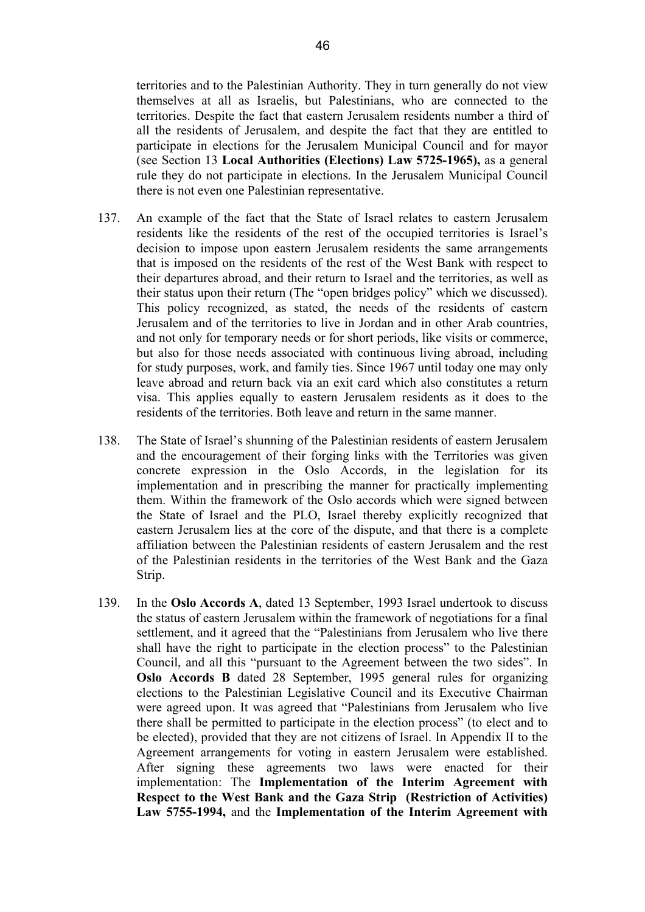territories and to the Palestinian Authority. They in turn generally do not view themselves at all as Israelis, but Palestinians, who are connected to the territories. Despite the fact that eastern Jerusalem residents number a third of all the residents of Jerusalem, and despite the fact that they are entitled to participate in elections for the Jerusalem Municipal Council and for mayor (see Section 13 **Local Authorities (Elections) Law 5725-1965),** as a general rule they do not participate in elections. In the Jerusalem Municipal Council there is not even one Palestinian representative.

- 137. An example of the fact that the State of Israel relates to eastern Jerusalem residents like the residents of the rest of the occupied territories is Israel's decision to impose upon eastern Jerusalem residents the same arrangements that is imposed on the residents of the rest of the West Bank with respect to their departures abroad, and their return to Israel and the territories, as well as their status upon their return (The "open bridges policy" which we discussed). This policy recognized, as stated, the needs of the residents of eastern Jerusalem and of the territories to live in Jordan and in other Arab countries, and not only for temporary needs or for short periods, like visits or commerce, but also for those needs associated with continuous living abroad, including for study purposes, work, and family ties. Since 1967 until today one may only leave abroad and return back via an exit card which also constitutes a return visa. This applies equally to eastern Jerusalem residents as it does to the residents of the territories. Both leave and return in the same manner.
- 138. The State of Israel's shunning of the Palestinian residents of eastern Jerusalem and the encouragement of their forging links with the Territories was given concrete expression in the Oslo Accords, in the legislation for its implementation and in prescribing the manner for practically implementing them. Within the framework of the Oslo accords which were signed between the State of Israel and the PLO, Israel thereby explicitly recognized that eastern Jerusalem lies at the core of the dispute, and that there is a complete affiliation between the Palestinian residents of eastern Jerusalem and the rest of the Palestinian residents in the territories of the West Bank and the Gaza Strip.
- 139. In the **Oslo Accords A**, dated 13 September, 1993 Israel undertook to discuss the status of eastern Jerusalem within the framework of negotiations for a final settlement, and it agreed that the "Palestinians from Jerusalem who live there shall have the right to participate in the election process" to the Palestinian Council, and all this "pursuant to the Agreement between the two sides". In **Oslo Accords B** dated 28 September, 1995 general rules for organizing elections to the Palestinian Legislative Council and its Executive Chairman were agreed upon. It was agreed that "Palestinians from Jerusalem who live there shall be permitted to participate in the election process" (to elect and to be elected), provided that they are not citizens of Israel. In Appendix II to the Agreement arrangements for voting in eastern Jerusalem were established. After signing these agreements two laws were enacted for their implementation: The **Implementation of the Interim Agreement with Respect to the West Bank and the Gaza Strip (Restriction of Activities) Law 5755-1994,** and the **Implementation of the Interim Agreement with**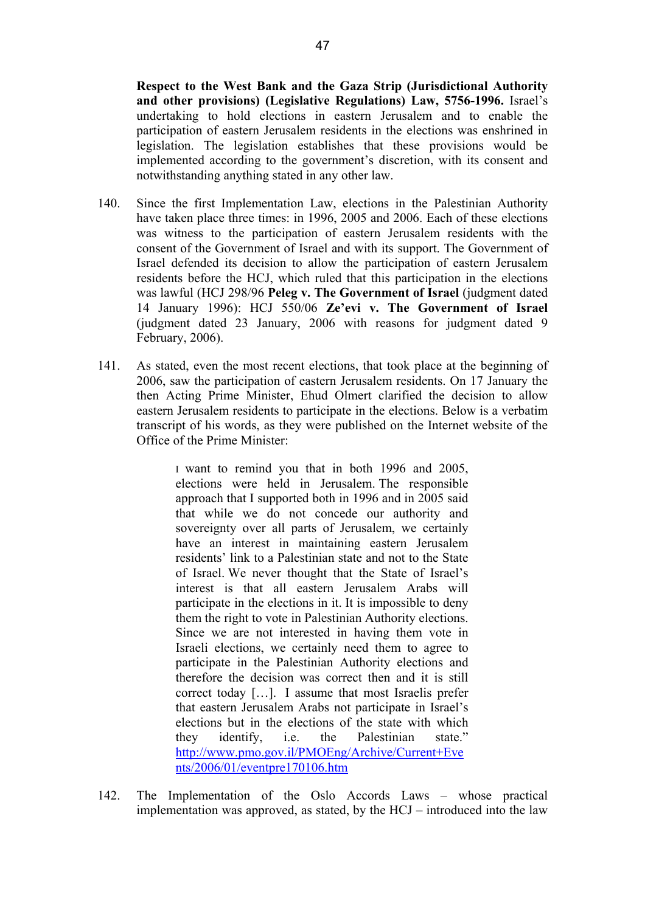**Respect to the West Bank and the Gaza Strip (Jurisdictional Authority and other provisions) (Legislative Regulations) Law, 5756-1996.** Israel's undertaking to hold elections in eastern Jerusalem and to enable the participation of eastern Jerusalem residents in the elections was enshrined in legislation. The legislation establishes that these provisions would be implemented according to the government's discretion, with its consent and notwithstanding anything stated in any other law.

- 140. Since the first Implementation Law, elections in the Palestinian Authority have taken place three times: in 1996, 2005 and 2006. Each of these elections was witness to the participation of eastern Jerusalem residents with the consent of the Government of Israel and with its support. The Government of Israel defended its decision to allow the participation of eastern Jerusalem residents before the HCJ, which ruled that this participation in the elections was lawful (HCJ 298/96 **Peleg v. The Government of Israel** (judgment dated 14 January 1996): HCJ 550/06 **Ze'evi v. The Government of Israel** (judgment dated 23 January, 2006 with reasons for judgment dated 9 February, 2006).
- 141. As stated, even the most recent elections, that took place at the beginning of 2006, saw the participation of eastern Jerusalem residents. On 17 January the then Acting Prime Minister, Ehud Olmert clarified the decision to allow eastern Jerusalem residents to participate in the elections. Below is a verbatim transcript of his words, as they were published on the Internet website of the Office of the Prime Minister:

I want to remind you that in both 1996 and 2005, elections were held in Jerusalem. The responsible approach that I supported both in 1996 and in 2005 said that while we do not concede our authority and sovereignty over all parts of Jerusalem, we certainly have an interest in maintaining eastern Jerusalem residents' link to a Palestinian state and not to the State of Israel. We never thought that the State of Israel's interest is that all eastern Jerusalem Arabs will participate in the elections in it. It is impossible to deny them the right to vote in Palestinian Authority elections. Since we are not interested in having them vote in Israeli elections, we certainly need them to agree to participate in the Palestinian Authority elections and therefore the decision was correct then and it is still correct today […]. I assume that most Israelis prefer that eastern Jerusalem Arabs not participate in Israel's elections but in the elections of the state with which they identify, i.e. the Palestinian state." http://www.pmo.gov.il/PMOEng/Archive/Current+Eve nts/2006/01/eventpre170106.htm

142. The Implementation of the Oslo Accords Laws – whose practical implementation was approved, as stated, by the HCJ – introduced into the law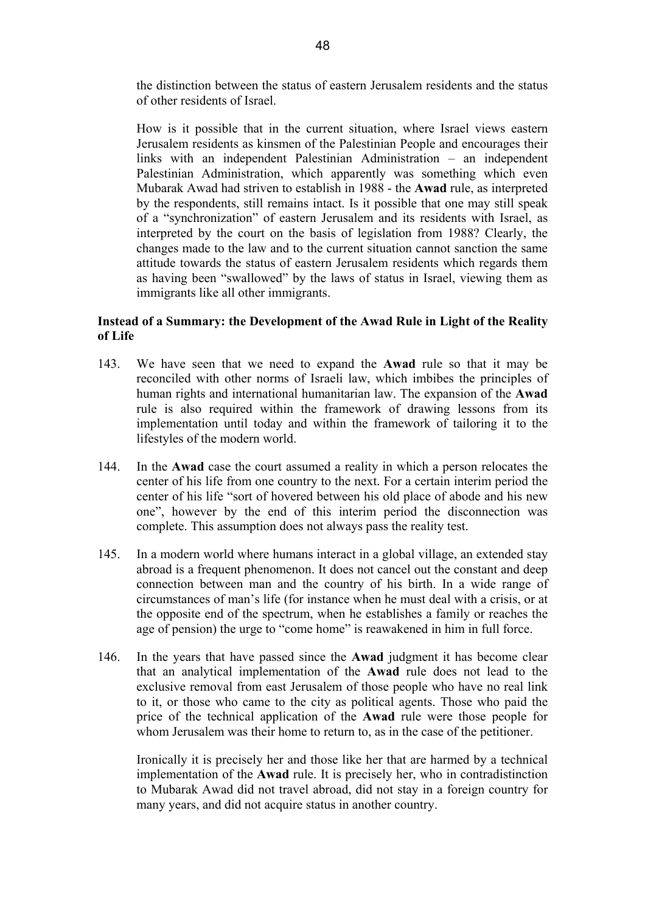the distinction between the status of eastern Jerusalem residents and the status of other residents of Israel.

How is it possible that in the current situation, where Israel views eastern Jerusalem residents as kinsmen of the Palestinian People and encourages their links with an independent Palestinian Administration – an independent Palestinian Administration, which apparently was something which even Mubarak Awad had striven to establish in 1988 - the **Awad** rule, as interpreted by the respondents, still remains intact. Is it possible that one may still speak of a "synchronization" of eastern Jerusalem and its residents with Israel, as interpreted by the court on the basis of legislation from 1988? Clearly, the changes made to the law and to the current situation cannot sanction the same attitude towards the status of eastern Jerusalem residents which regards them as having been "swallowed" by the laws of status in Israel, viewing them as immigrants like all other immigrants.

# **Instead of a Summary: the Development of the Awad Rule in Light of the Reality of Life**

- 143. We have seen that we need to expand the **Awad** rule so that it may be reconciled with other norms of Israeli law, which imbibes the principles of human rights and international humanitarian law. The expansion of the **Awad** rule is also required within the framework of drawing lessons from its implementation until today and within the framework of tailoring it to the lifestyles of the modern world.
- 144. In the **Awad** case the court assumed a reality in which a person relocates the center of his life from one country to the next. For a certain interim period the center of his life "sort of hovered between his old place of abode and his new one", however by the end of this interim period the disconnection was complete. This assumption does not always pass the reality test.
- 145. In a modern world where humans interact in a global village, an extended stay abroad is a frequent phenomenon. It does not cancel out the constant and deep connection between man and the country of his birth. In a wide range of circumstances of man's life (for instance when he must deal with a crisis, or at the opposite end of the spectrum, when he establishes a family or reaches the age of pension) the urge to "come home" is reawakened in him in full force.
- 146. In the years that have passed since the **Awad** judgment it has become clear that an analytical implementation of the **Awad** rule does not lead to the exclusive removal from east Jerusalem of those people who have no real link to it, or those who came to the city as political agents. Those who paid the price of the technical application of the **Awad** rule were those people for whom Jerusalem was their home to return to, as in the case of the petitioner.

Ironically it is precisely her and those like her that are harmed by a technical implementation of the **Awad** rule. It is precisely her, who in contradistinction to Mubarak Awad did not travel abroad, did not stay in a foreign country for many years, and did not acquire status in another country.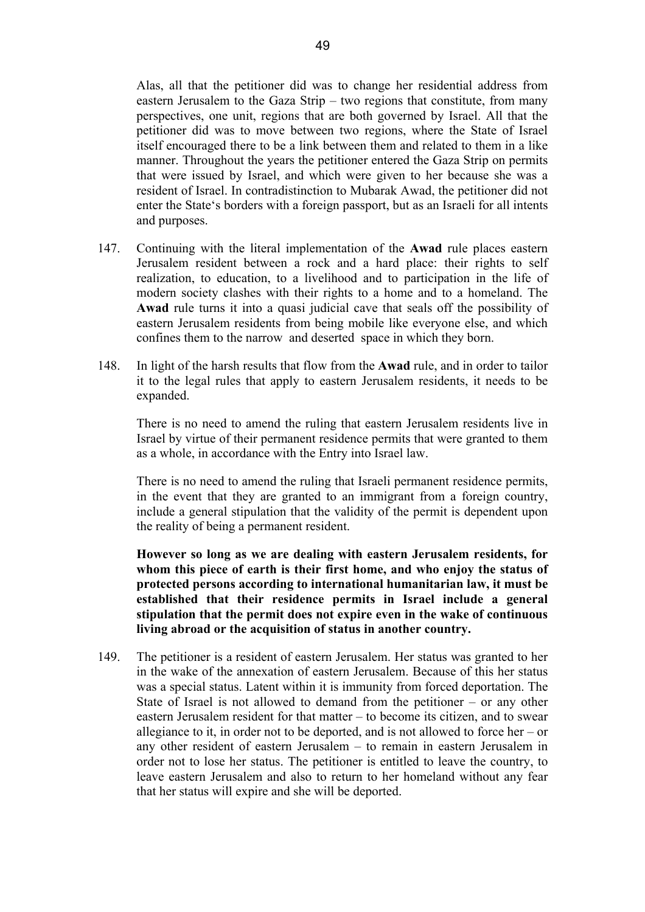Alas, all that the petitioner did was to change her residential address from eastern Jerusalem to the Gaza Strip – two regions that constitute, from many perspectives, one unit, regions that are both governed by Israel. All that the petitioner did was to move between two regions, where the State of Israel itself encouraged there to be a link between them and related to them in a like manner. Throughout the years the petitioner entered the Gaza Strip on permits that were issued by Israel, and which were given to her because she was a resident of Israel. In contradistinction to Mubarak Awad, the petitioner did not

enter the State's borders with a foreign passport, but as an Israeli for all intents

147. Continuing with the literal implementation of the **Awad** rule places eastern Jerusalem resident between a rock and a hard place: their rights to self realization, to education, to a livelihood and to participation in the life of modern society clashes with their rights to a home and to a homeland. The **Awad** rule turns it into a quasi judicial cave that seals off the possibility of eastern Jerusalem residents from being mobile like everyone else, and which confines them to the narrow and deserted space in which they born.

and purposes.

148. In light of the harsh results that flow from the **Awad** rule, and in order to tailor it to the legal rules that apply to eastern Jerusalem residents, it needs to be expanded.

There is no need to amend the ruling that eastern Jerusalem residents live in Israel by virtue of their permanent residence permits that were granted to them as a whole, in accordance with the Entry into Israel law.

There is no need to amend the ruling that Israeli permanent residence permits, in the event that they are granted to an immigrant from a foreign country, include a general stipulation that the validity of the permit is dependent upon the reality of being a permanent resident.

**However so long as we are dealing with eastern Jerusalem residents, for whom this piece of earth is their first home, and who enjoy the status of protected persons according to international humanitarian law, it must be established that their residence permits in Israel include a general stipulation that the permit does not expire even in the wake of continuous living abroad or the acquisition of status in another country.** 

149. The petitioner is a resident of eastern Jerusalem. Her status was granted to her in the wake of the annexation of eastern Jerusalem. Because of this her status was a special status. Latent within it is immunity from forced deportation. The State of Israel is not allowed to demand from the petitioner – or any other eastern Jerusalem resident for that matter – to become its citizen, and to swear allegiance to it, in order not to be deported, and is not allowed to force her – or any other resident of eastern Jerusalem – to remain in eastern Jerusalem in order not to lose her status. The petitioner is entitled to leave the country, to leave eastern Jerusalem and also to return to her homeland without any fear that her status will expire and she will be deported.